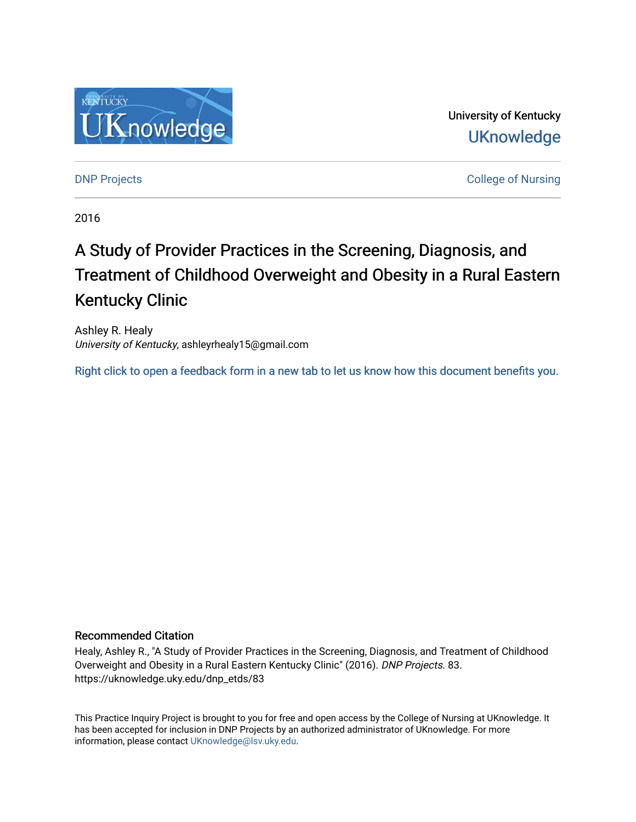

University of Kentucky **UKnowledge** 

**DNP Projects** College of Nursing

2016

# A Study of Provider Practices in the Screening, Diagnosis, and Treatment of Childhood Overweight and Obesity in a Rural Eastern Kentucky Clinic

Ashley R. Healy University of Kentucky, ashleyrhealy15@gmail.com

[Right click to open a feedback form in a new tab to let us know how this document benefits you.](https://uky.az1.qualtrics.com/jfe/form/SV_9mq8fx2GnONRfz7)

### Recommended Citation

Healy, Ashley R., "A Study of Provider Practices in the Screening, Diagnosis, and Treatment of Childhood Overweight and Obesity in a Rural Eastern Kentucky Clinic" (2016). DNP Projects. 83. https://uknowledge.uky.edu/dnp\_etds/83

This Practice Inquiry Project is brought to you for free and open access by the College of Nursing at UKnowledge. It has been accepted for inclusion in DNP Projects by an authorized administrator of UKnowledge. For more information, please contact [UKnowledge@lsv.uky.edu](mailto:UKnowledge@lsv.uky.edu).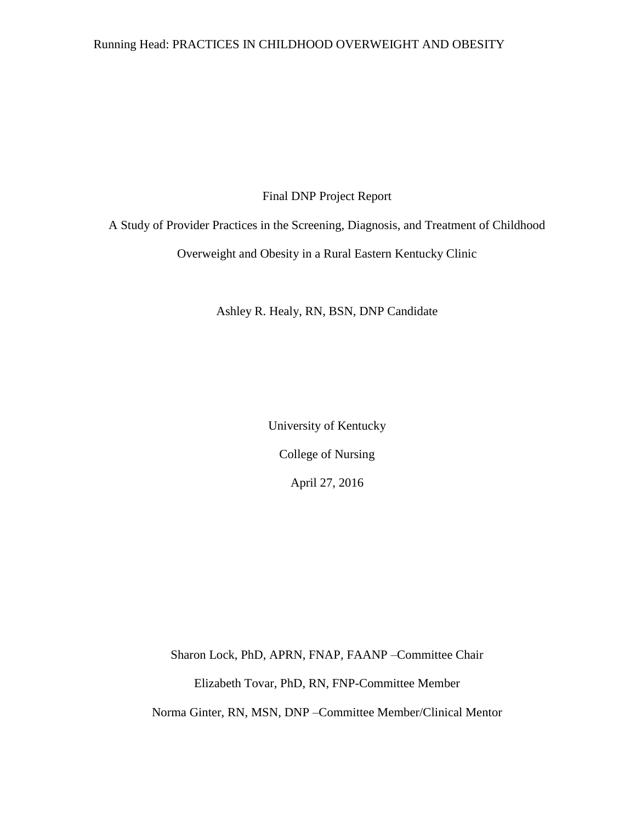## Running Head: PRACTICES IN CHILDHOOD OVERWEIGHT AND OBESITY

Final DNP Project Report

A Study of Provider Practices in the Screening, Diagnosis, and Treatment of Childhood

Overweight and Obesity in a Rural Eastern Kentucky Clinic

Ashley R. Healy, RN, BSN, DNP Candidate

University of Kentucky College of Nursing April 27, 2016

Sharon Lock, PhD, APRN, FNAP, FAANP –Committee Chair Elizabeth Tovar, PhD, RN, FNP-Committee Member Norma Ginter, RN, MSN, DNP –Committee Member/Clinical Mentor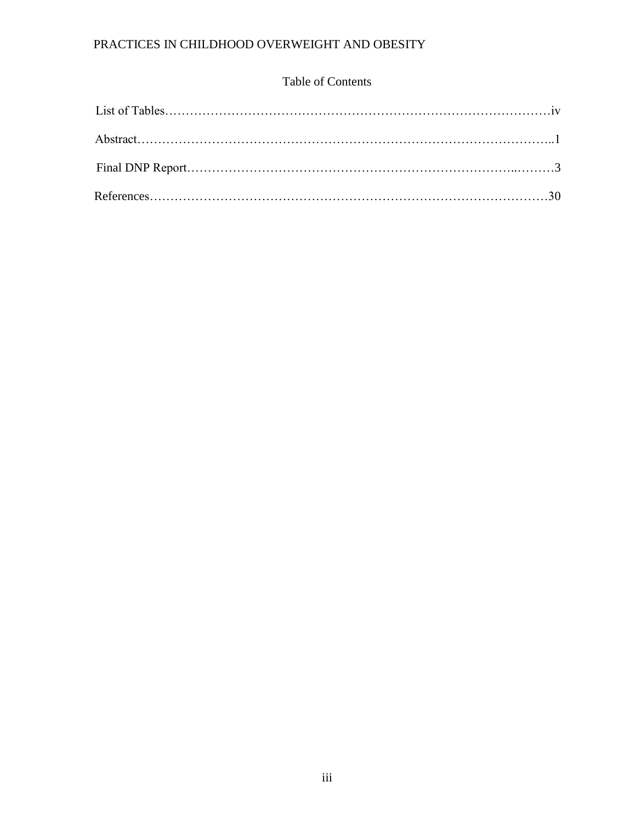## Table of Contents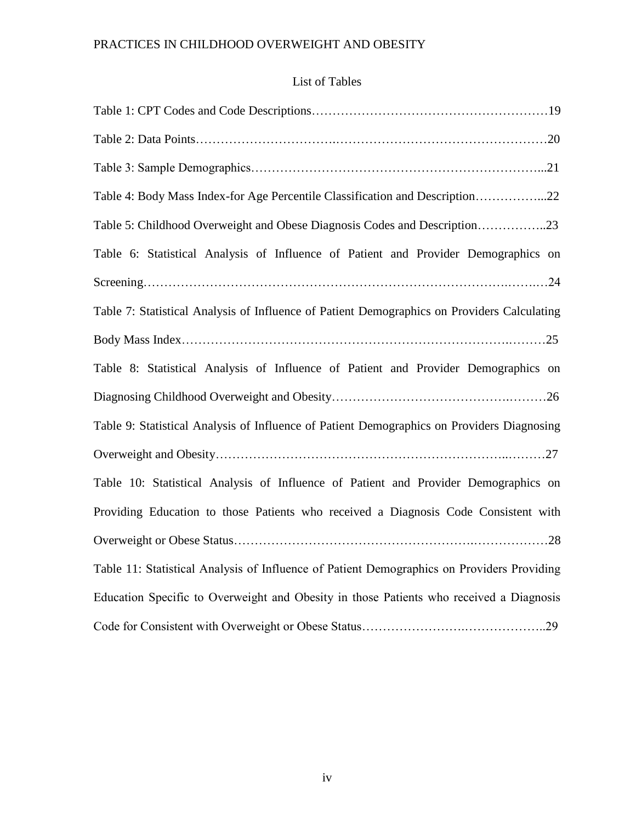## List of Tables

| Table 4: Body Mass Index-for Age Percentile Classification and Description22                |
|---------------------------------------------------------------------------------------------|
| Table 5: Childhood Overweight and Obese Diagnosis Codes and Description23                   |
| Table 6: Statistical Analysis of Influence of Patient and Provider Demographics on          |
|                                                                                             |
| Table 7: Statistical Analysis of Influence of Patient Demographics on Providers Calculating |
|                                                                                             |
| Table 8: Statistical Analysis of Influence of Patient and Provider Demographics on          |
|                                                                                             |
| Table 9: Statistical Analysis of Influence of Patient Demographics on Providers Diagnosing  |
|                                                                                             |
| Table 10: Statistical Analysis of Influence of Patient and Provider Demographics on         |
| Providing Education to those Patients who received a Diagnosis Code Consistent with         |
|                                                                                             |
| Table 11: Statistical Analysis of Influence of Patient Demographics on Providers Providing  |
| Education Specific to Overweight and Obesity in those Patients who received a Diagnosis     |
|                                                                                             |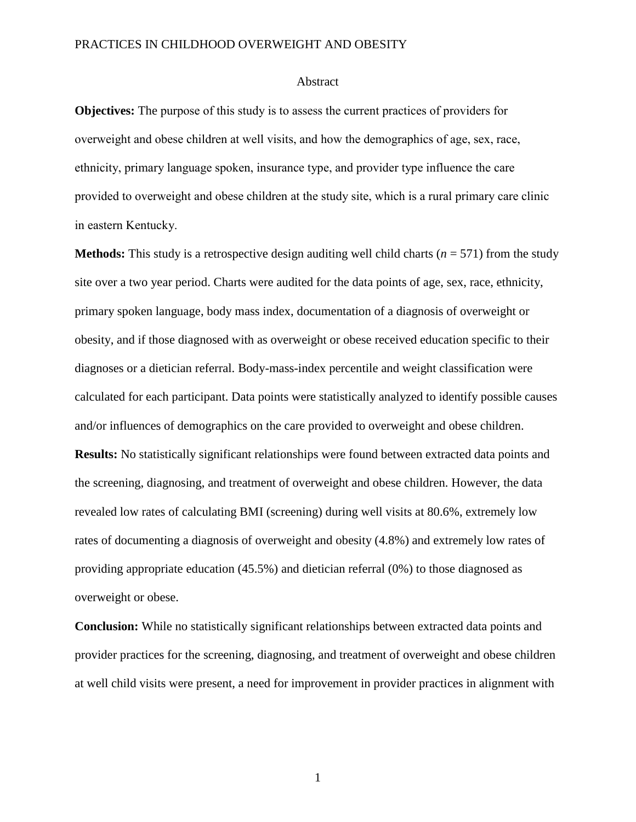#### Abstract

**Objectives:** The purpose of this study is to assess the current practices of providers for overweight and obese children at well visits, and how the demographics of age, sex, race, ethnicity, primary language spoken, insurance type, and provider type influence the care provided to overweight and obese children at the study site, which is a rural primary care clinic in eastern Kentucky.

**Methods:** This study is a retrospective design auditing well child charts ( $n = 571$ ) from the study site over a two year period. Charts were audited for the data points of age, sex, race, ethnicity, primary spoken language, body mass index, documentation of a diagnosis of overweight or obesity, and if those diagnosed with as overweight or obese received education specific to their diagnoses or a dietician referral. Body-mass-index percentile and weight classification were calculated for each participant. Data points were statistically analyzed to identify possible causes and/or influences of demographics on the care provided to overweight and obese children. **Results:** No statistically significant relationships were found between extracted data points and the screening, diagnosing, and treatment of overweight and obese children. However, the data revealed low rates of calculating BMI (screening) during well visits at 80.6%, extremely low rates of documenting a diagnosis of overweight and obesity (4.8%) and extremely low rates of providing appropriate education (45.5%) and dietician referral (0%) to those diagnosed as overweight or obese.

**Conclusion:** While no statistically significant relationships between extracted data points and provider practices for the screening, diagnosing, and treatment of overweight and obese children at well child visits were present, a need for improvement in provider practices in alignment with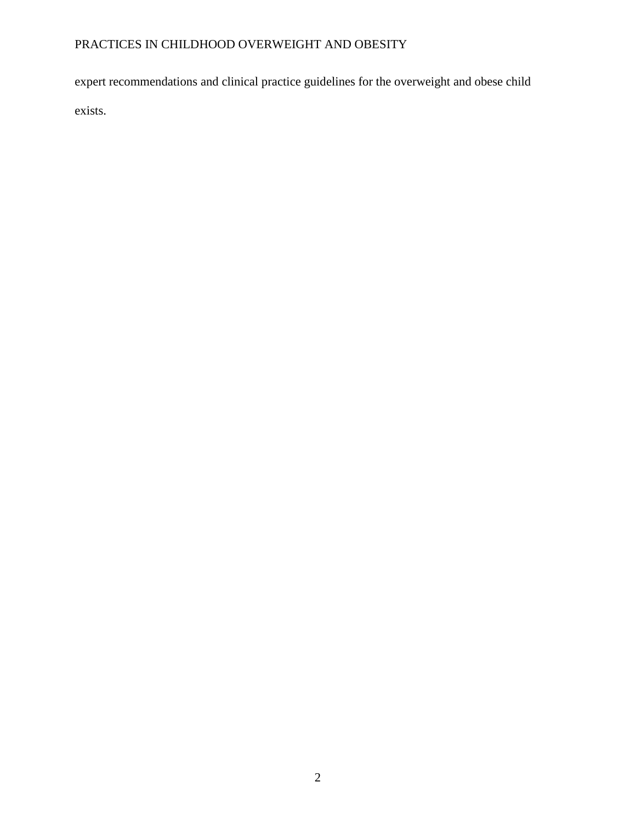expert recommendations and clinical practice guidelines for the overweight and obese child exists.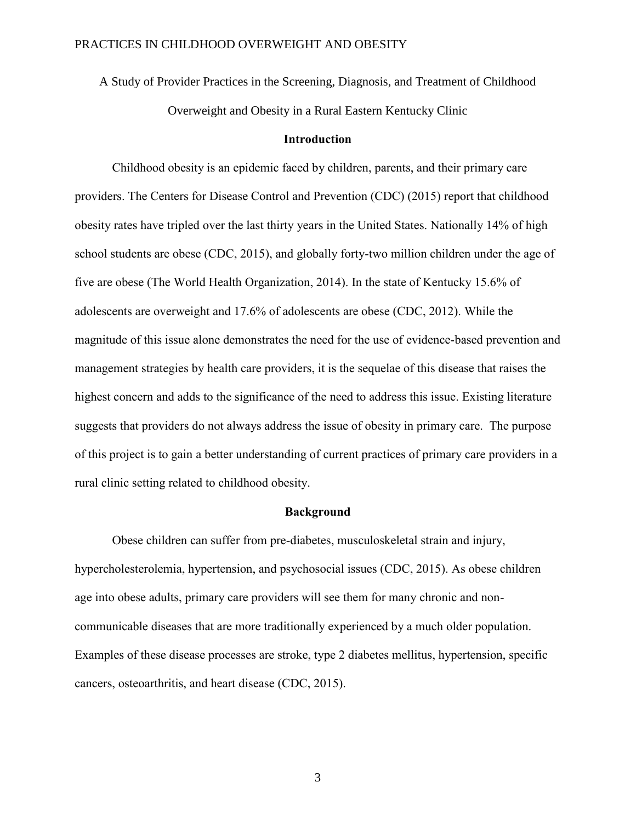A Study of Provider Practices in the Screening, Diagnosis, and Treatment of Childhood

Overweight and Obesity in a Rural Eastern Kentucky Clinic

### **Introduction**

Childhood obesity is an epidemic faced by children, parents, and their primary care providers. The Centers for Disease Control and Prevention (CDC) (2015) report that childhood obesity rates have tripled over the last thirty years in the United States. Nationally 14% of high school students are obese (CDC, 2015), and globally forty-two million children under the age of five are obese (The World Health Organization, 2014). In the state of Kentucky 15.6% of adolescents are overweight and 17.6% of adolescents are obese (CDC, 2012). While the magnitude of this issue alone demonstrates the need for the use of evidence-based prevention and management strategies by health care providers, it is the sequelae of this disease that raises the highest concern and adds to the significance of the need to address this issue. Existing literature suggests that providers do not always address the issue of obesity in primary care. The purpose of this project is to gain a better understanding of current practices of primary care providers in a rural clinic setting related to childhood obesity.

#### **Background**

Obese children can suffer from pre-diabetes, musculoskeletal strain and injury, hypercholesterolemia, hypertension, and psychosocial issues (CDC, 2015). As obese children age into obese adults, primary care providers will see them for many chronic and noncommunicable diseases that are more traditionally experienced by a much older population. Examples of these disease processes are stroke, type 2 diabetes mellitus, hypertension, specific cancers, osteoarthritis, and heart disease (CDC, 2015).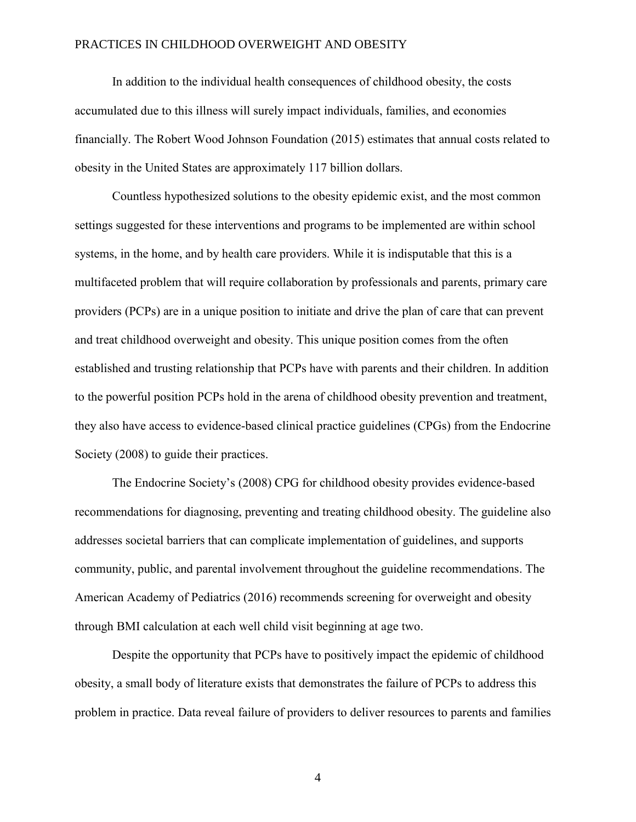In addition to the individual health consequences of childhood obesity, the costs accumulated due to this illness will surely impact individuals, families, and economies financially. The Robert Wood Johnson Foundation (2015) estimates that annual costs related to obesity in the United States are approximately 117 billion dollars.

Countless hypothesized solutions to the obesity epidemic exist, and the most common settings suggested for these interventions and programs to be implemented are within school systems, in the home, and by health care providers. While it is indisputable that this is a multifaceted problem that will require collaboration by professionals and parents, primary care providers (PCPs) are in a unique position to initiate and drive the plan of care that can prevent and treat childhood overweight and obesity. This unique position comes from the often established and trusting relationship that PCPs have with parents and their children. In addition to the powerful position PCPs hold in the arena of childhood obesity prevention and treatment, they also have access to evidence-based clinical practice guidelines (CPGs) from the Endocrine Society (2008) to guide their practices.

The Endocrine Society's (2008) CPG for childhood obesity provides evidence-based recommendations for diagnosing, preventing and treating childhood obesity. The guideline also addresses societal barriers that can complicate implementation of guidelines, and supports community, public, and parental involvement throughout the guideline recommendations. The American Academy of Pediatrics (2016) recommends screening for overweight and obesity through BMI calculation at each well child visit beginning at age two.

Despite the opportunity that PCPs have to positively impact the epidemic of childhood obesity, a small body of literature exists that demonstrates the failure of PCPs to address this problem in practice. Data reveal failure of providers to deliver resources to parents and families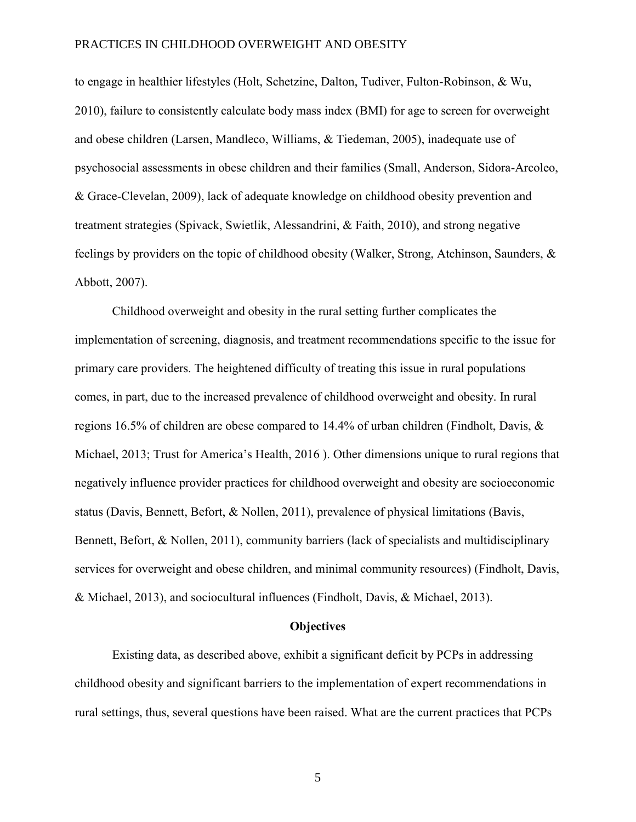to engage in healthier lifestyles (Holt, Schetzine, Dalton, Tudiver, Fulton-Robinson, & Wu, 2010), failure to consistently calculate body mass index (BMI) for age to screen for overweight and obese children (Larsen, Mandleco, Williams, & Tiedeman, 2005), inadequate use of psychosocial assessments in obese children and their families (Small, Anderson, Sidora-Arcoleo, & Grace-Clevelan, 2009), lack of adequate knowledge on childhood obesity prevention and treatment strategies (Spivack, Swietlik, Alessandrini, & Faith, 2010), and strong negative feelings by providers on the topic of childhood obesity (Walker, Strong, Atchinson, Saunders, & Abbott, 2007).

Childhood overweight and obesity in the rural setting further complicates the implementation of screening, diagnosis, and treatment recommendations specific to the issue for primary care providers. The heightened difficulty of treating this issue in rural populations comes, in part, due to the increased prevalence of childhood overweight and obesity. In rural regions 16.5% of children are obese compared to 14.4% of urban children (Findholt, Davis, & Michael, 2013; Trust for America's Health, 2016 ). Other dimensions unique to rural regions that negatively influence provider practices for childhood overweight and obesity are socioeconomic status (Davis, Bennett, Befort, & Nollen, 2011), prevalence of physical limitations (Bavis, Bennett, Befort, & Nollen, 2011), community barriers (lack of specialists and multidisciplinary services for overweight and obese children, and minimal community resources) (Findholt, Davis, & Michael, 2013), and sociocultural influences (Findholt, Davis, & Michael, 2013).

#### **Objectives**

Existing data, as described above, exhibit a significant deficit by PCPs in addressing childhood obesity and significant barriers to the implementation of expert recommendations in rural settings, thus, several questions have been raised. What are the current practices that PCPs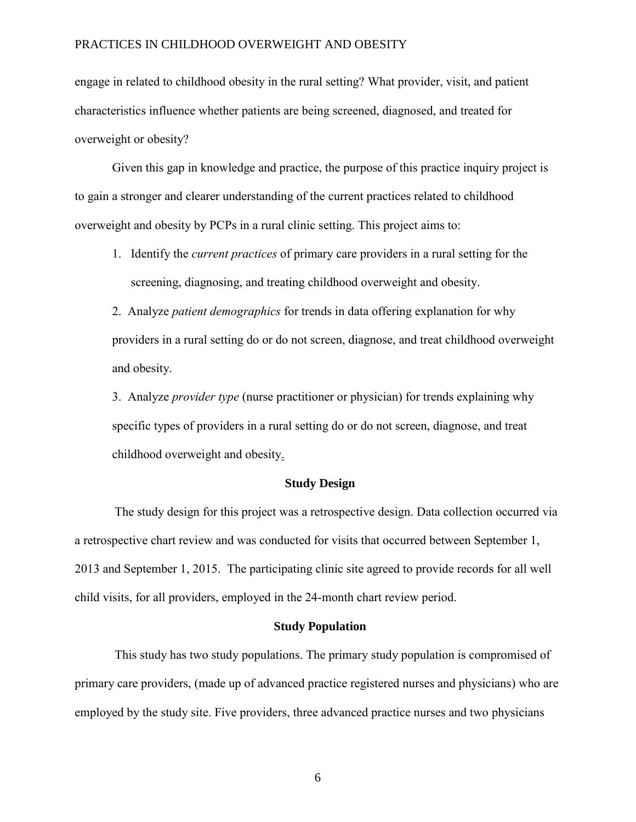engage in related to childhood obesity in the rural setting? What provider, visit, and patient characteristics influence whether patients are being screened, diagnosed, and treated for overweight or obesity?

Given this gap in knowledge and practice, the purpose of this practice inquiry project is to gain a stronger and clearer understanding of the current practices related to childhood overweight and obesity by PCPs in a rural clinic setting. This project aims to:

1. Identify the *current practices* of primary care providers in a rural setting for the screening, diagnosing, and treating childhood overweight and obesity.

2. Analyze *patient demographics* for trends in data offering explanation for why providers in a rural setting do or do not screen, diagnose, and treat childhood overweight and obesity.

3. Analyze *provider type* (nurse practitioner or physician) for trends explaining why specific types of providers in a rural setting do or do not screen, diagnose, and treat childhood overweight and obesity.

#### **Study Design**

The study design for this project was a retrospective design. Data collection occurred via a retrospective chart review and was conducted for visits that occurred between September 1, 2013 and September 1, 2015. The participating clinic site agreed to provide records for all well child visits, for all providers, employed in the 24-month chart review period.

#### **Study Population**

This study has two study populations. The primary study population is compromised of primary care providers, (made up of advanced practice registered nurses and physicians) who are employed by the study site. Five providers, three advanced practice nurses and two physicians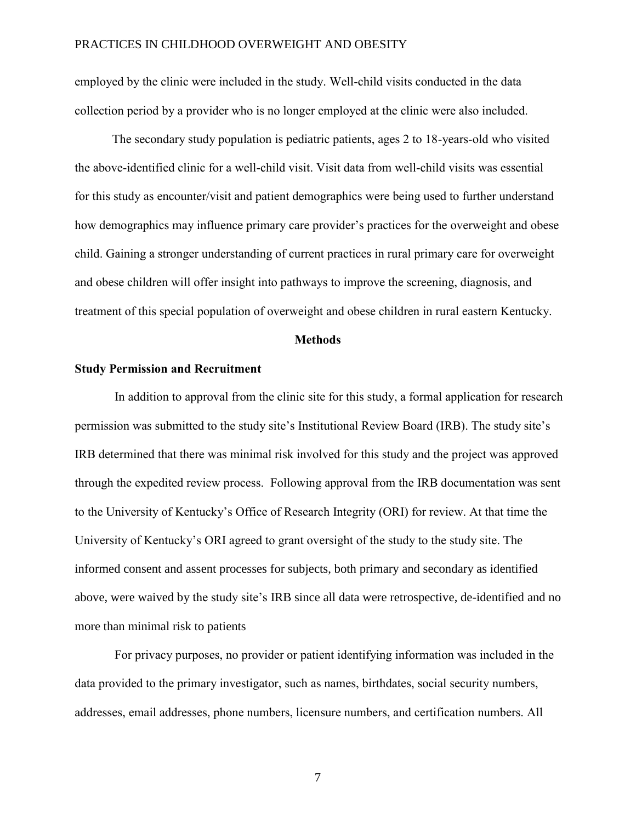employed by the clinic were included in the study. Well-child visits conducted in the data collection period by a provider who is no longer employed at the clinic were also included.

The secondary study population is pediatric patients, ages 2 to 18-years-old who visited the above-identified clinic for a well-child visit. Visit data from well-child visits was essential for this study as encounter/visit and patient demographics were being used to further understand how demographics may influence primary care provider's practices for the overweight and obese child. Gaining a stronger understanding of current practices in rural primary care for overweight and obese children will offer insight into pathways to improve the screening, diagnosis, and treatment of this special population of overweight and obese children in rural eastern Kentucky.

#### **Methods**

#### **Study Permission and Recruitment**

In addition to approval from the clinic site for this study, a formal application for research permission was submitted to the study site's Institutional Review Board (IRB). The study site's IRB determined that there was minimal risk involved for this study and the project was approved through the expedited review process. Following approval from the IRB documentation was sent to the University of Kentucky's Office of Research Integrity (ORI) for review. At that time the University of Kentucky's ORI agreed to grant oversight of the study to the study site. The informed consent and assent processes for subjects, both primary and secondary as identified above, were waived by the study site's IRB since all data were retrospective, de-identified and no more than minimal risk to patients

For privacy purposes, no provider or patient identifying information was included in the data provided to the primary investigator, such as names, birthdates, social security numbers, addresses, email addresses, phone numbers, licensure numbers, and certification numbers. All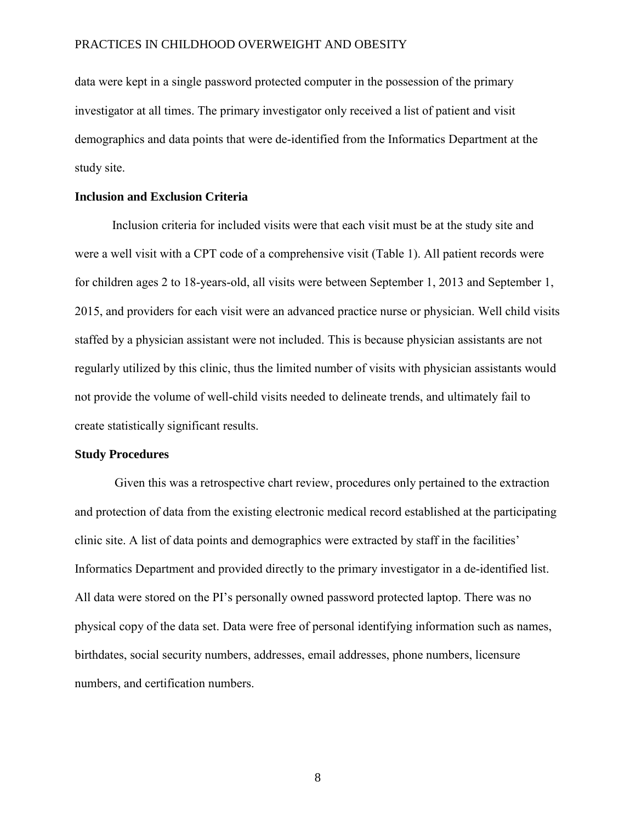data were kept in a single password protected computer in the possession of the primary investigator at all times. The primary investigator only received a list of patient and visit demographics and data points that were de-identified from the Informatics Department at the study site.

### **Inclusion and Exclusion Criteria**

Inclusion criteria for included visits were that each visit must be at the study site and were a well visit with a CPT code of a comprehensive visit (Table 1). All patient records were for children ages 2 to 18-years-old, all visits were between September 1, 2013 and September 1, 2015, and providers for each visit were an advanced practice nurse or physician. Well child visits staffed by a physician assistant were not included. This is because physician assistants are not regularly utilized by this clinic, thus the limited number of visits with physician assistants would not provide the volume of well-child visits needed to delineate trends, and ultimately fail to create statistically significant results.

#### **Study Procedures**

Given this was a retrospective chart review, procedures only pertained to the extraction and protection of data from the existing electronic medical record established at the participating clinic site. A list of data points and demographics were extracted by staff in the facilities' Informatics Department and provided directly to the primary investigator in a de-identified list. All data were stored on the PI's personally owned password protected laptop. There was no physical copy of the data set. Data were free of personal identifying information such as names, birthdates, social security numbers, addresses, email addresses, phone numbers, licensure numbers, and certification numbers.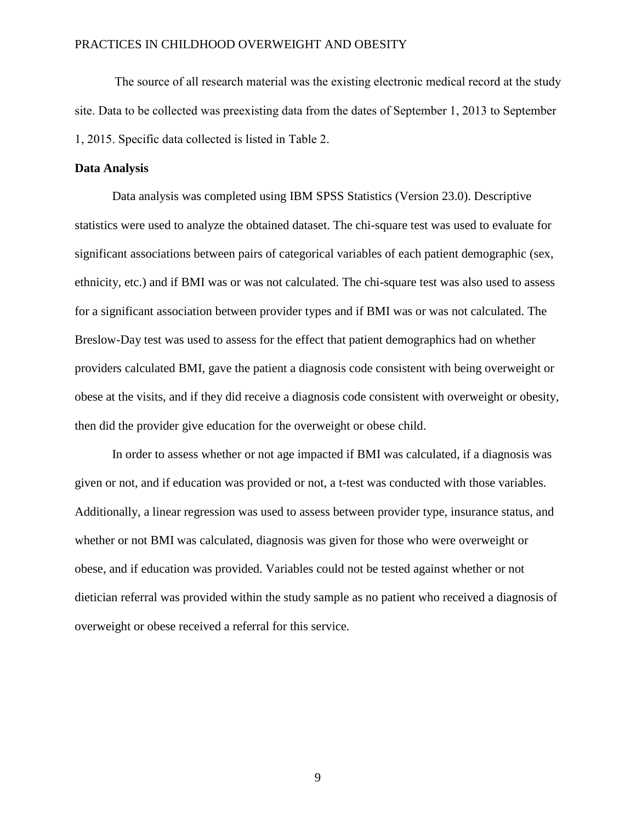The source of all research material was the existing electronic medical record at the study site. Data to be collected was preexisting data from the dates of September 1, 2013 to September 1, 2015. Specific data collected is listed in Table 2.

#### **Data Analysis**

Data analysis was completed using IBM SPSS Statistics (Version 23.0). Descriptive statistics were used to analyze the obtained dataset. The chi-square test was used to evaluate for significant associations between pairs of categorical variables of each patient demographic (sex, ethnicity, etc.) and if BMI was or was not calculated. The chi-square test was also used to assess for a significant association between provider types and if BMI was or was not calculated. The Breslow-Day test was used to assess for the effect that patient demographics had on whether providers calculated BMI, gave the patient a diagnosis code consistent with being overweight or obese at the visits, and if they did receive a diagnosis code consistent with overweight or obesity, then did the provider give education for the overweight or obese child.

In order to assess whether or not age impacted if BMI was calculated, if a diagnosis was given or not, and if education was provided or not, a t-test was conducted with those variables. Additionally, a linear regression was used to assess between provider type, insurance status, and whether or not BMI was calculated, diagnosis was given for those who were overweight or obese, and if education was provided. Variables could not be tested against whether or not dietician referral was provided within the study sample as no patient who received a diagnosis of overweight or obese received a referral for this service.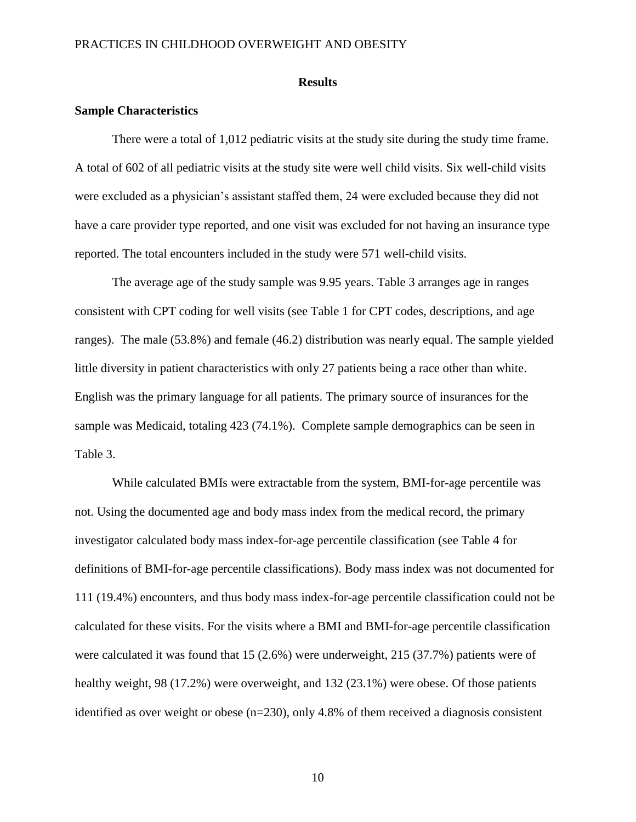#### **Results**

#### **Sample Characteristics**

There were a total of 1,012 pediatric visits at the study site during the study time frame. A total of 602 of all pediatric visits at the study site were well child visits. Six well-child visits were excluded as a physician's assistant staffed them, 24 were excluded because they did not have a care provider type reported, and one visit was excluded for not having an insurance type reported. The total encounters included in the study were 571 well-child visits.

The average age of the study sample was 9.95 years. Table 3 arranges age in ranges consistent with CPT coding for well visits (see Table 1 for CPT codes, descriptions, and age ranges). The male (53.8%) and female (46.2) distribution was nearly equal. The sample yielded little diversity in patient characteristics with only 27 patients being a race other than white. English was the primary language for all patients. The primary source of insurances for the sample was Medicaid, totaling 423 (74.1%). Complete sample demographics can be seen in Table 3.

While calculated BMIs were extractable from the system, BMI-for-age percentile was not. Using the documented age and body mass index from the medical record, the primary investigator calculated body mass index-for-age percentile classification (see Table 4 for definitions of BMI-for-age percentile classifications). Body mass index was not documented for 111 (19.4%) encounters, and thus body mass index-for-age percentile classification could not be calculated for these visits. For the visits where a BMI and BMI-for-age percentile classification were calculated it was found that 15 (2.6%) were underweight, 215 (37.7%) patients were of healthy weight, 98 (17.2%) were overweight, and 132 (23.1%) were obese. Of those patients identified as over weight or obese  $(n=230)$ , only 4.8% of them received a diagnosis consistent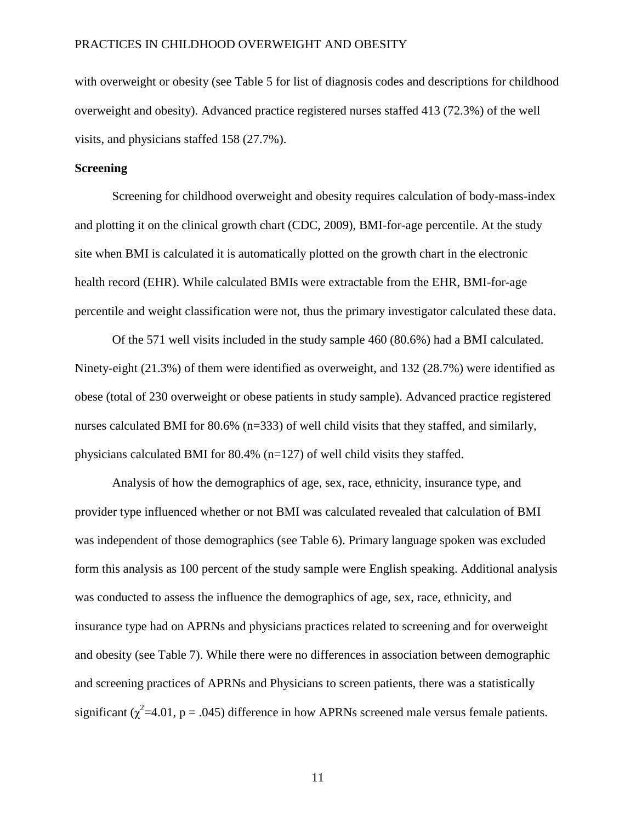with overweight or obesity (see Table 5 for list of diagnosis codes and descriptions for childhood overweight and obesity). Advanced practice registered nurses staffed 413 (72.3%) of the well visits, and physicians staffed 158 (27.7%).

#### **Screening**

Screening for childhood overweight and obesity requires calculation of body-mass-index and plotting it on the clinical growth chart (CDC, 2009), BMI-for-age percentile. At the study site when BMI is calculated it is automatically plotted on the growth chart in the electronic health record (EHR). While calculated BMIs were extractable from the EHR, BMI-for-age percentile and weight classification were not, thus the primary investigator calculated these data.

Of the 571 well visits included in the study sample 460 (80.6%) had a BMI calculated. Ninety-eight (21.3%) of them were identified as overweight, and 132 (28.7%) were identified as obese (total of 230 overweight or obese patients in study sample). Advanced practice registered nurses calculated BMI for 80.6% (n=333) of well child visits that they staffed, and similarly, physicians calculated BMI for 80.4% (n=127) of well child visits they staffed.

Analysis of how the demographics of age, sex, race, ethnicity, insurance type, and provider type influenced whether or not BMI was calculated revealed that calculation of BMI was independent of those demographics (see Table 6). Primary language spoken was excluded form this analysis as 100 percent of the study sample were English speaking. Additional analysis was conducted to assess the influence the demographics of age, sex, race, ethnicity, and insurance type had on APRNs and physicians practices related to screening and for overweight and obesity (see Table 7). While there were no differences in association between demographic and screening practices of APRNs and Physicians to screen patients, there was a statistically significant ( $\chi^2$ =4.01, p = .045) difference in how APRNs screened male versus female patients.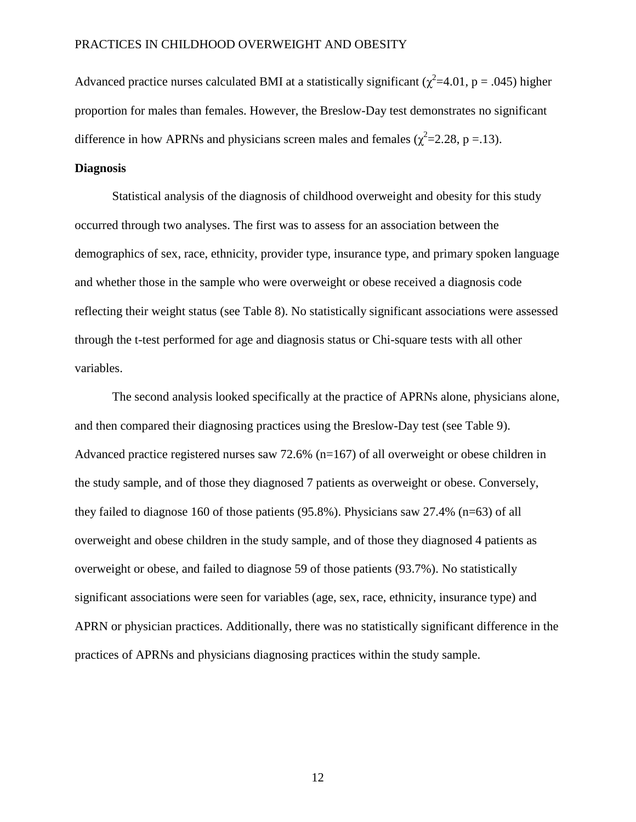Advanced practice nurses calculated BMI at a statistically significant ( $\chi^2$ =4.01, p = .045) higher proportion for males than females. However, the Breslow-Day test demonstrates no significant difference in how APRNs and physicians screen males and females ( $\chi^2$ =2.28, p = .13).

#### **Diagnosis**

Statistical analysis of the diagnosis of childhood overweight and obesity for this study occurred through two analyses. The first was to assess for an association between the demographics of sex, race, ethnicity, provider type, insurance type, and primary spoken language and whether those in the sample who were overweight or obese received a diagnosis code reflecting their weight status (see Table 8). No statistically significant associations were assessed through the t-test performed for age and diagnosis status or Chi-square tests with all other variables.

The second analysis looked specifically at the practice of APRNs alone, physicians alone, and then compared their diagnosing practices using the Breslow-Day test (see Table 9). Advanced practice registered nurses saw 72.6% ( $n=167$ ) of all overweight or obese children in the study sample, and of those they diagnosed 7 patients as overweight or obese. Conversely, they failed to diagnose 160 of those patients (95.8%). Physicians saw 27.4% (n=63) of all overweight and obese children in the study sample, and of those they diagnosed 4 patients as overweight or obese, and failed to diagnose 59 of those patients (93.7%). No statistically significant associations were seen for variables (age, sex, race, ethnicity, insurance type) and APRN or physician practices. Additionally, there was no statistically significant difference in the practices of APRNs and physicians diagnosing practices within the study sample.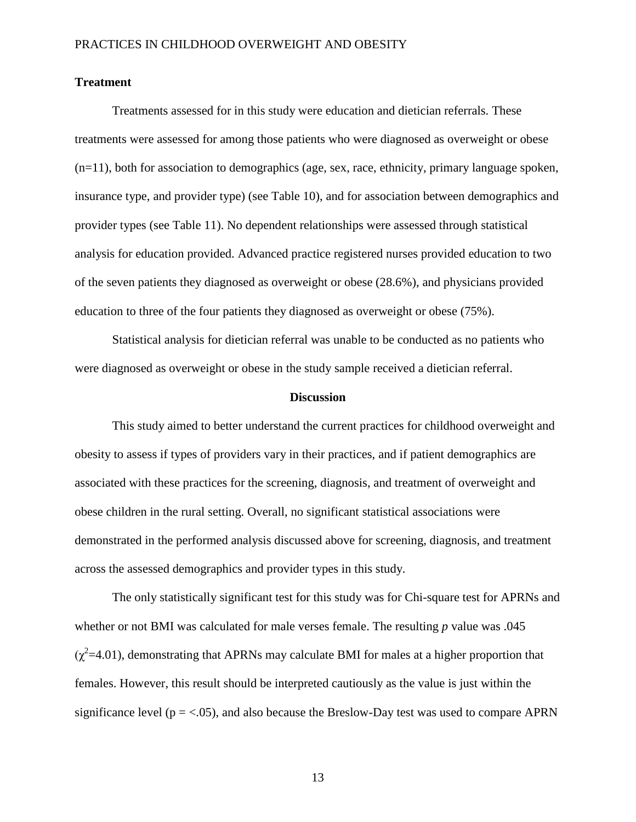#### **Treatment**

Treatments assessed for in this study were education and dietician referrals. These treatments were assessed for among those patients who were diagnosed as overweight or obese  $(n=11)$ , both for association to demographics (age, sex, race, ethnicity, primary language spoken, insurance type, and provider type) (see Table 10), and for association between demographics and provider types (see Table 11). No dependent relationships were assessed through statistical analysis for education provided. Advanced practice registered nurses provided education to two of the seven patients they diagnosed as overweight or obese (28.6%), and physicians provided education to three of the four patients they diagnosed as overweight or obese (75%).

Statistical analysis for dietician referral was unable to be conducted as no patients who were diagnosed as overweight or obese in the study sample received a dietician referral.

#### **Discussion**

This study aimed to better understand the current practices for childhood overweight and obesity to assess if types of providers vary in their practices, and if patient demographics are associated with these practices for the screening, diagnosis, and treatment of overweight and obese children in the rural setting. Overall, no significant statistical associations were demonstrated in the performed analysis discussed above for screening, diagnosis, and treatment across the assessed demographics and provider types in this study.

The only statistically significant test for this study was for Chi-square test for APRNs and whether or not BMI was calculated for male verses female. The resulting *p* value was .045  $(\chi^2=4.01)$ , demonstrating that APRNs may calculate BMI for males at a higher proportion that females. However, this result should be interpreted cautiously as the value is just within the significance level ( $p = < 0.05$ ), and also because the Breslow-Day test was used to compare APRN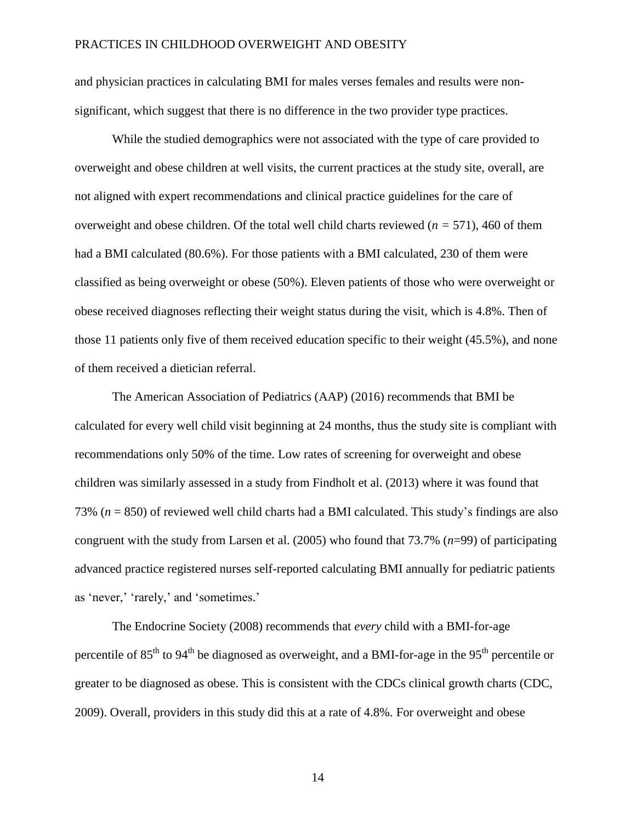and physician practices in calculating BMI for males verses females and results were nonsignificant, which suggest that there is no difference in the two provider type practices.

While the studied demographics were not associated with the type of care provided to overweight and obese children at well visits, the current practices at the study site, overall, are not aligned with expert recommendations and clinical practice guidelines for the care of overweight and obese children. Of the total well child charts reviewed (*n =* 571), 460 of them had a BMI calculated (80.6%). For those patients with a BMI calculated, 230 of them were classified as being overweight or obese (50%). Eleven patients of those who were overweight or obese received diagnoses reflecting their weight status during the visit, which is 4.8%. Then of those 11 patients only five of them received education specific to their weight (45.5%), and none of them received a dietician referral.

The American Association of Pediatrics (AAP) (2016) recommends that BMI be calculated for every well child visit beginning at 24 months, thus the study site is compliant with recommendations only 50% of the time. Low rates of screening for overweight and obese children was similarly assessed in a study from Findholt et al. (2013) where it was found that 73% (*n* = 850) of reviewed well child charts had a BMI calculated. This study's findings are also congruent with the study from Larsen et al. (2005) who found that 73.7% (*n*=99) of participating advanced practice registered nurses self-reported calculating BMI annually for pediatric patients as 'never,' 'rarely,' and 'sometimes.'

The Endocrine Society (2008) recommends that *every* child with a BMI-for-age percentile of  $85<sup>th</sup>$  to  $94<sup>th</sup>$  be diagnosed as overweight, and a BMI-for-age in the  $95<sup>th</sup>$  percentile or greater to be diagnosed as obese. This is consistent with the CDCs clinical growth charts (CDC, 2009). Overall, providers in this study did this at a rate of 4.8%. For overweight and obese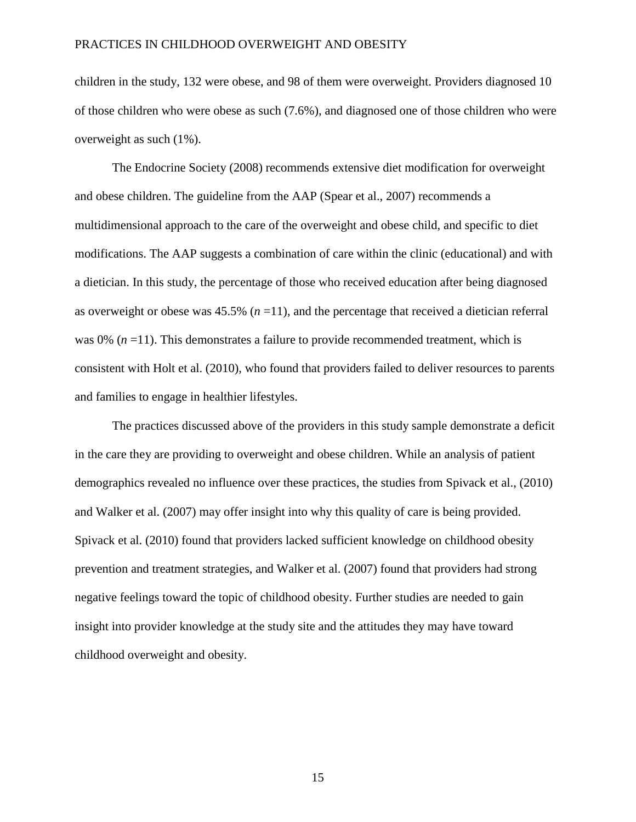children in the study, 132 were obese, and 98 of them were overweight. Providers diagnosed 10 of those children who were obese as such (7.6%), and diagnosed one of those children who were overweight as such (1%).

The Endocrine Society (2008) recommends extensive diet modification for overweight and obese children. The guideline from the AAP (Spear et al., 2007) recommends a multidimensional approach to the care of the overweight and obese child, and specific to diet modifications. The AAP suggests a combination of care within the clinic (educational) and with a dietician. In this study, the percentage of those who received education after being diagnosed as overweight or obese was  $45.5\%$  ( $n = 11$ ), and the percentage that received a dietician referral was 0% (*n* = 11). This demonstrates a failure to provide recommended treatment, which is consistent with Holt et al. (2010), who found that providers failed to deliver resources to parents and families to engage in healthier lifestyles.

The practices discussed above of the providers in this study sample demonstrate a deficit in the care they are providing to overweight and obese children. While an analysis of patient demographics revealed no influence over these practices, the studies from Spivack et al., (2010) and Walker et al. (2007) may offer insight into why this quality of care is being provided. Spivack et al. (2010) found that providers lacked sufficient knowledge on childhood obesity prevention and treatment strategies, and Walker et al. (2007) found that providers had strong negative feelings toward the topic of childhood obesity. Further studies are needed to gain insight into provider knowledge at the study site and the attitudes they may have toward childhood overweight and obesity.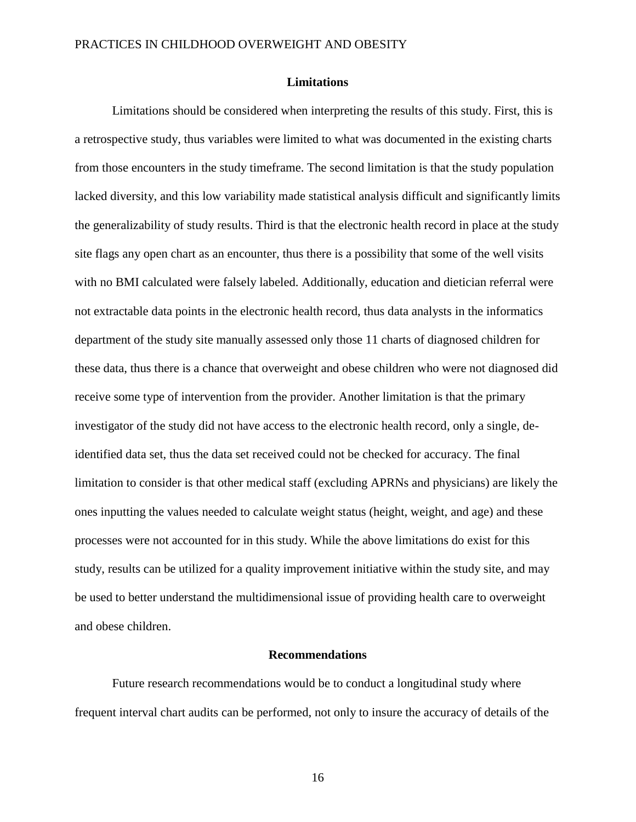#### **Limitations**

Limitations should be considered when interpreting the results of this study. First, this is a retrospective study, thus variables were limited to what was documented in the existing charts from those encounters in the study timeframe. The second limitation is that the study population lacked diversity, and this low variability made statistical analysis difficult and significantly limits the generalizability of study results. Third is that the electronic health record in place at the study site flags any open chart as an encounter, thus there is a possibility that some of the well visits with no BMI calculated were falsely labeled. Additionally, education and dietician referral were not extractable data points in the electronic health record, thus data analysts in the informatics department of the study site manually assessed only those 11 charts of diagnosed children for these data, thus there is a chance that overweight and obese children who were not diagnosed did receive some type of intervention from the provider. Another limitation is that the primary investigator of the study did not have access to the electronic health record, only a single, deidentified data set, thus the data set received could not be checked for accuracy. The final limitation to consider is that other medical staff (excluding APRNs and physicians) are likely the ones inputting the values needed to calculate weight status (height, weight, and age) and these processes were not accounted for in this study. While the above limitations do exist for this study, results can be utilized for a quality improvement initiative within the study site, and may be used to better understand the multidimensional issue of providing health care to overweight and obese children.

#### **Recommendations**

Future research recommendations would be to conduct a longitudinal study where frequent interval chart audits can be performed, not only to insure the accuracy of details of the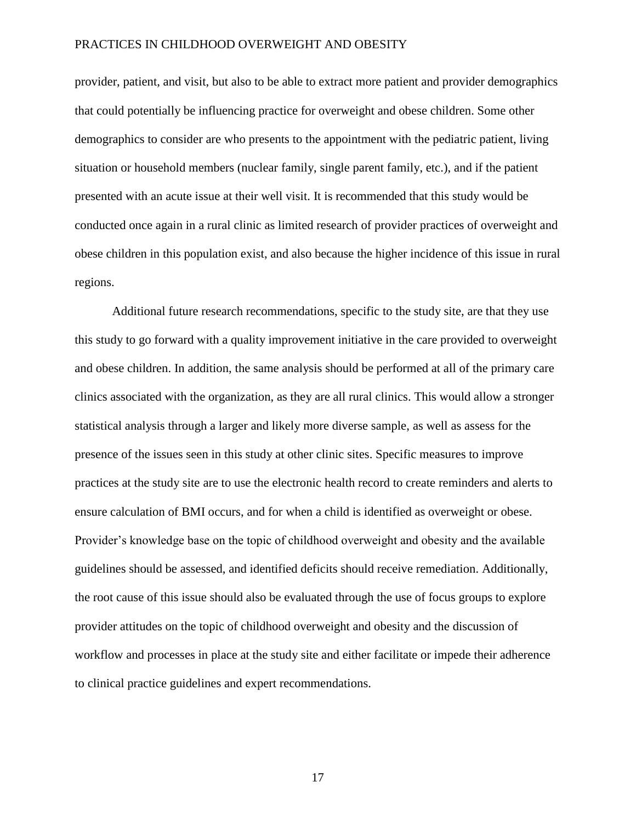provider, patient, and visit, but also to be able to extract more patient and provider demographics that could potentially be influencing practice for overweight and obese children. Some other demographics to consider are who presents to the appointment with the pediatric patient, living situation or household members (nuclear family, single parent family, etc.), and if the patient presented with an acute issue at their well visit. It is recommended that this study would be conducted once again in a rural clinic as limited research of provider practices of overweight and obese children in this population exist, and also because the higher incidence of this issue in rural regions.

Additional future research recommendations, specific to the study site, are that they use this study to go forward with a quality improvement initiative in the care provided to overweight and obese children. In addition, the same analysis should be performed at all of the primary care clinics associated with the organization, as they are all rural clinics. This would allow a stronger statistical analysis through a larger and likely more diverse sample, as well as assess for the presence of the issues seen in this study at other clinic sites. Specific measures to improve practices at the study site are to use the electronic health record to create reminders and alerts to ensure calculation of BMI occurs, and for when a child is identified as overweight or obese. Provider's knowledge base on the topic of childhood overweight and obesity and the available guidelines should be assessed, and identified deficits should receive remediation. Additionally, the root cause of this issue should also be evaluated through the use of focus groups to explore provider attitudes on the topic of childhood overweight and obesity and the discussion of workflow and processes in place at the study site and either facilitate or impede their adherence to clinical practice guidelines and expert recommendations.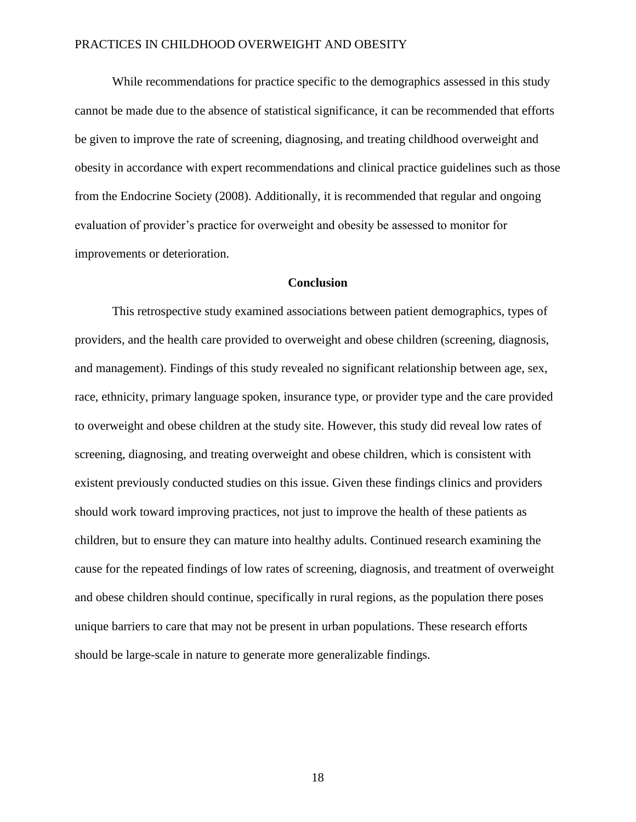While recommendations for practice specific to the demographics assessed in this study cannot be made due to the absence of statistical significance, it can be recommended that efforts be given to improve the rate of screening, diagnosing, and treating childhood overweight and obesity in accordance with expert recommendations and clinical practice guidelines such as those from the Endocrine Society (2008). Additionally, it is recommended that regular and ongoing evaluation of provider's practice for overweight and obesity be assessed to monitor for improvements or deterioration.

#### **Conclusion**

This retrospective study examined associations between patient demographics, types of providers, and the health care provided to overweight and obese children (screening, diagnosis, and management). Findings of this study revealed no significant relationship between age, sex, race, ethnicity, primary language spoken, insurance type, or provider type and the care provided to overweight and obese children at the study site. However, this study did reveal low rates of screening, diagnosing, and treating overweight and obese children, which is consistent with existent previously conducted studies on this issue. Given these findings clinics and providers should work toward improving practices, not just to improve the health of these patients as children, but to ensure they can mature into healthy adults. Continued research examining the cause for the repeated findings of low rates of screening, diagnosis, and treatment of overweight and obese children should continue, specifically in rural regions, as the population there poses unique barriers to care that may not be present in urban populations. These research efforts should be large-scale in nature to generate more generalizable findings.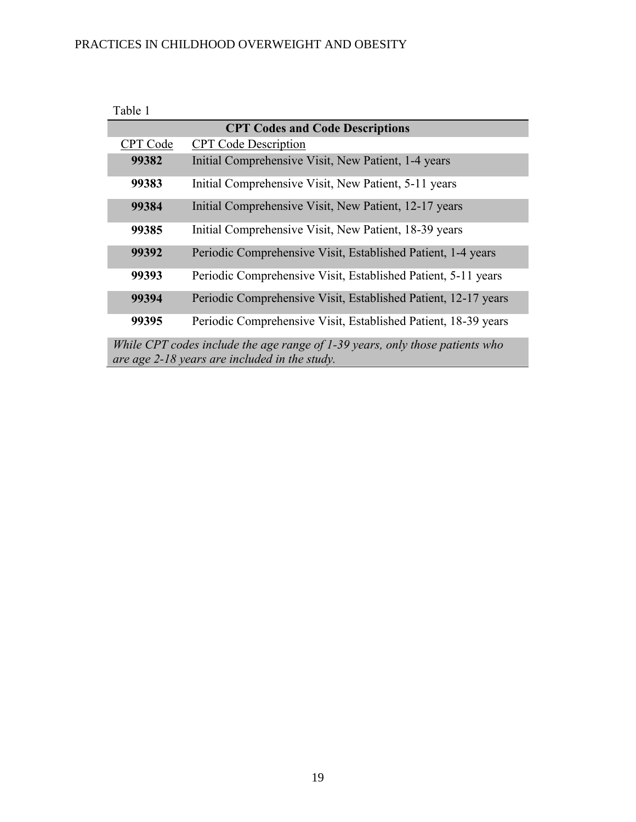| Table 1  |                                                                                                                               |
|----------|-------------------------------------------------------------------------------------------------------------------------------|
|          | <b>CPT Codes and Code Descriptions</b>                                                                                        |
| CPT Code | <b>CPT</b> Code Description                                                                                                   |
| 99382    | Initial Comprehensive Visit, New Patient, 1-4 years                                                                           |
| 99383    | Initial Comprehensive Visit, New Patient, 5-11 years                                                                          |
| 99384    | Initial Comprehensive Visit, New Patient, 12-17 years                                                                         |
| 99385    | Initial Comprehensive Visit, New Patient, 18-39 years                                                                         |
| 99392    | Periodic Comprehensive Visit, Established Patient, 1-4 years                                                                  |
| 99393    | Periodic Comprehensive Visit, Established Patient, 5-11 years                                                                 |
| 99394    | Periodic Comprehensive Visit, Established Patient, 12-17 years                                                                |
| 99395    | Periodic Comprehensive Visit, Established Patient, 18-39 years                                                                |
|          | While CPT codes include the age range of 1-39 years, only those patients who<br>are age 2-18 years are included in the study. |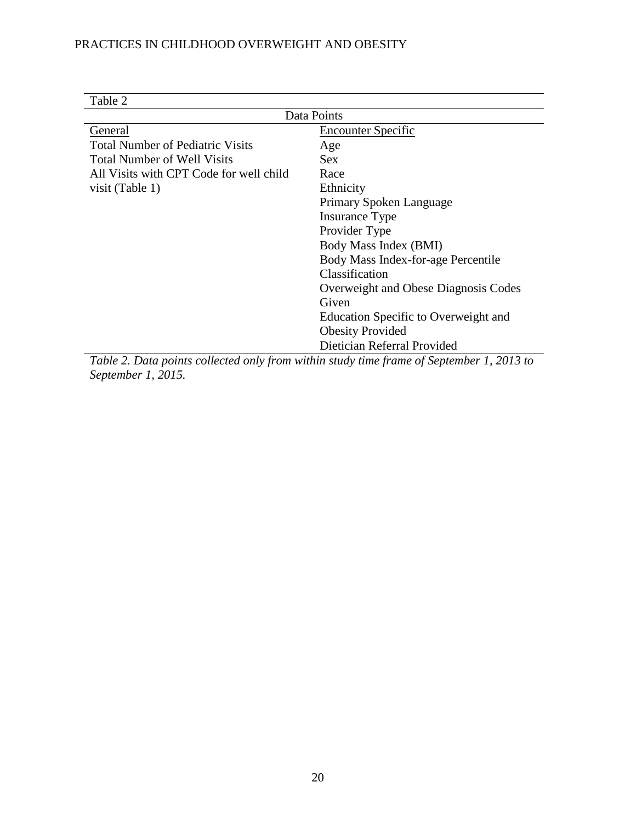| Table 2                                 |                                                                                          |  |  |  |  |  |
|-----------------------------------------|------------------------------------------------------------------------------------------|--|--|--|--|--|
| Data Points                             |                                                                                          |  |  |  |  |  |
| General                                 | <b>Encounter Specific</b>                                                                |  |  |  |  |  |
| <b>Total Number of Pediatric Visits</b> | Age                                                                                      |  |  |  |  |  |
| <b>Total Number of Well Visits</b>      | <b>Sex</b>                                                                               |  |  |  |  |  |
| All Visits with CPT Code for well child | Race                                                                                     |  |  |  |  |  |
| visit (Table 1)                         | Ethnicity                                                                                |  |  |  |  |  |
|                                         | Primary Spoken Language                                                                  |  |  |  |  |  |
|                                         | Insurance Type                                                                           |  |  |  |  |  |
|                                         | Provider Type                                                                            |  |  |  |  |  |
|                                         | Body Mass Index (BMI)                                                                    |  |  |  |  |  |
|                                         | Body Mass Index-for-age Percentile                                                       |  |  |  |  |  |
|                                         | Classification                                                                           |  |  |  |  |  |
|                                         | Overweight and Obese Diagnosis Codes                                                     |  |  |  |  |  |
|                                         | Given                                                                                    |  |  |  |  |  |
|                                         | Education Specific to Overweight and                                                     |  |  |  |  |  |
|                                         | <b>Obesity Provided</b>                                                                  |  |  |  |  |  |
|                                         | Dietician Referral Provided                                                              |  |  |  |  |  |
|                                         | Table 2. Data points collected only from within study time frame of September 1, 2013 to |  |  |  |  |  |

*Table 2. Data points collected only from within study time frame of September 1, 2013 to September 1, 2015.*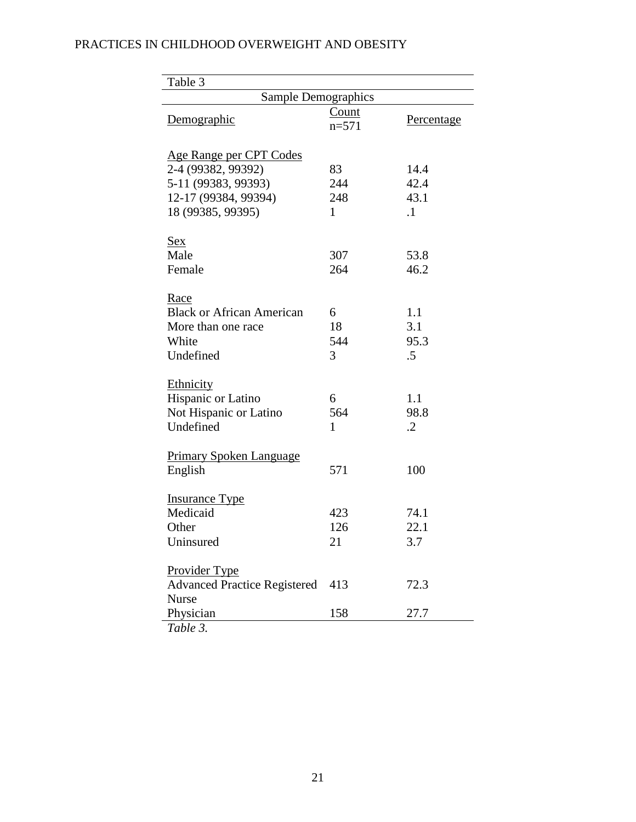| Table 3                             |                  |                   |  |  |
|-------------------------------------|------------------|-------------------|--|--|
| Sample Demographics                 |                  |                   |  |  |
| Demographic                         | Count<br>$n=571$ | <u>Percentage</u> |  |  |
| Age Range per CPT Codes             |                  |                   |  |  |
| 2-4 (99382, 99392)                  | 83               | 14.4              |  |  |
| 5-11 (99383, 99393)                 | 244              | 42.4              |  |  |
| 12-17 (99384, 99394)                | 248              | 43.1              |  |  |
| 18 (99385, 99395)                   | 1                | $\cdot$ 1         |  |  |
| Sex                                 |                  |                   |  |  |
| Male                                | 307              | 53.8              |  |  |
| Female                              | 264              | 46.2              |  |  |
| Race                                |                  |                   |  |  |
| <b>Black or African American</b>    | 6                | 1.1               |  |  |
| More than one race                  | 18               | 3.1               |  |  |
| White                               | 544              | 95.3              |  |  |
| Undefined                           | 3                | .5                |  |  |
| Ethnicity                           |                  |                   |  |  |
| Hispanic or Latino                  | 6                | 1.1               |  |  |
| Not Hispanic or Latino              | 564              | 98.8              |  |  |
| Undefined                           | 1                | $\cdot$ .2        |  |  |
| <b>Primary Spoken Language</b>      |                  |                   |  |  |
| English                             | 571              | 100               |  |  |
| <b>Insurance Type</b>               |                  |                   |  |  |
| Medicaid                            | 423              | 74.1              |  |  |
| Other                               | 126              | 22.1              |  |  |
| Uninsured                           | 21               | 3.7               |  |  |
| Provider Type                       |                  |                   |  |  |
| <b>Advanced Practice Registered</b> | 413              | 72.3              |  |  |
| <b>Nurse</b><br>Physician           | 158              | 27.7              |  |  |
| Table 3.                            |                  |                   |  |  |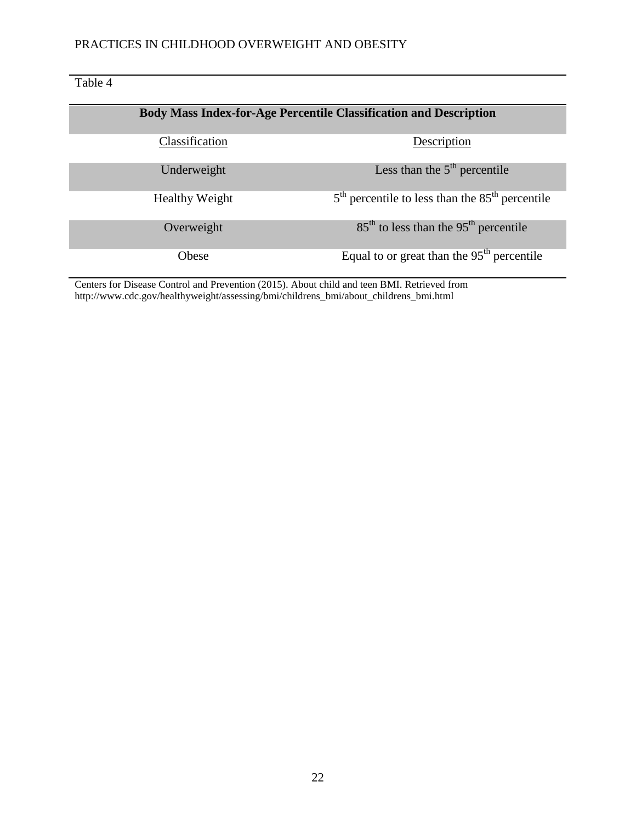Table 4 **Body Mass Index-for-Age Percentile Classification and Description** Classification Description Underweight  $Less than the 5<sup>th</sup> percentile$ Healthy Weight  $5<sup>th</sup>$  percentile to less than the  $85<sup>th</sup>$  percentile Overweight  $85<sup>th</sup>$  to less than the 95<sup>th</sup> percentile Obese Equal to or great than the 95<sup>th</sup> percentile

Centers for Disease Control and Prevention (2015). About child and teen BMI. Retrieved from http://www.cdc.gov/healthyweight/assessing/bmi/childrens\_bmi/about\_childrens\_bmi.html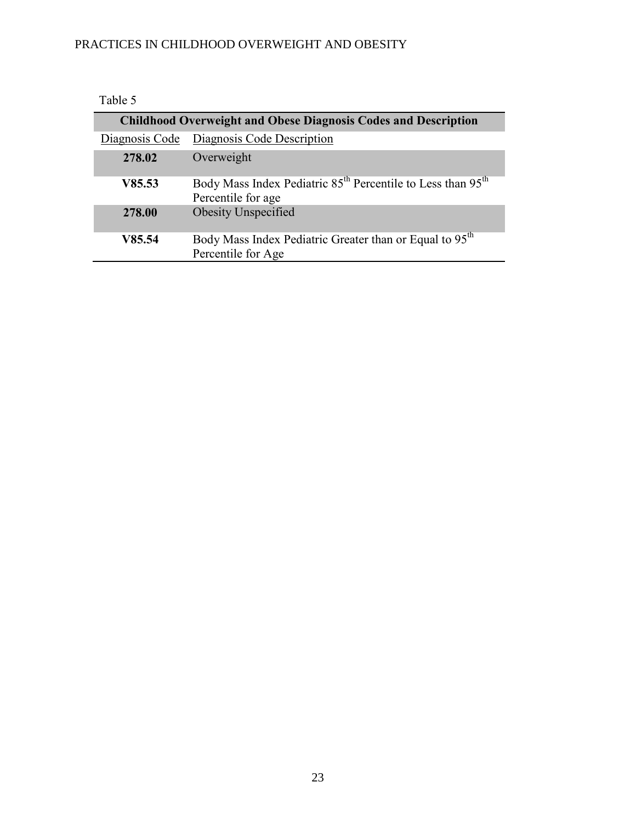| Table 5        |                                                                                                            |
|----------------|------------------------------------------------------------------------------------------------------------|
|                | <b>Childhood Overweight and Obese Diagnosis Codes and Description</b>                                      |
| Diagnosis Code | Diagnosis Code Description                                                                                 |
| 278.02         | Overweight                                                                                                 |
| V85.53         | Body Mass Index Pediatric 85 <sup>th</sup> Percentile to Less than 95 <sup>th</sup><br>Percentile for age. |
| 278.00         | Obesity Unspecified                                                                                        |
| V85.54         | Body Mass Index Pediatric Greater than or Equal to 95 <sup>th</sup><br>Percentile for Age                  |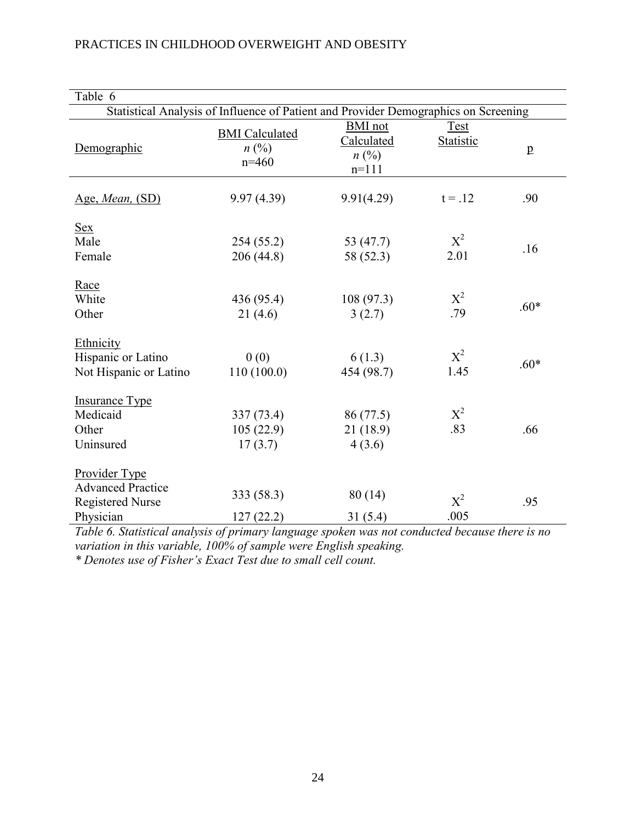| Table 6                                                                           |                                                                                     |                                                      |                                 |              |  |  |  |  |
|-----------------------------------------------------------------------------------|-------------------------------------------------------------------------------------|------------------------------------------------------|---------------------------------|--------------|--|--|--|--|
|                                                                                   | Statistical Analysis of Influence of Patient and Provider Demographics on Screening |                                                      |                                 |              |  |  |  |  |
| Demographic                                                                       | <b>BMI</b> Calculated<br>$n(^{0}/_{0})$<br>$n=460$                                  | <b>BMI</b> not<br>Calculated<br>$n\ (\%)$<br>$n=111$ | <b>Test</b><br><b>Statistic</b> | $\mathbf{p}$ |  |  |  |  |
| Age, Mean, (SD)                                                                   | 9.97(4.39)                                                                          | 9.91(4.29)                                           | $t = .12$                       | .90          |  |  |  |  |
| <b>Sex</b><br>Male<br>Female                                                      | 254(55.2)<br>206 (44.8)                                                             | 53 (47.7)<br>58 (52.3)                               | $X^2$<br>2.01                   | .16          |  |  |  |  |
| Race<br>White<br>Other                                                            | 436 (95.4)<br>21(4.6)                                                               | 108(97.3)<br>3(2.7)                                  | $X^2$<br>.79                    | $.60*$       |  |  |  |  |
| Ethnicity<br>Hispanic or Latino<br>Not Hispanic or Latino                         | 0(0)<br>110(100.0)                                                                  | 6(1.3)<br>454 (98.7)                                 | $X^2$<br>1.45                   | $.60*$       |  |  |  |  |
| <b>Insurance Type</b><br>Medicaid<br>Other<br>Uninsured                           | 337 (73.4)<br>105(22.9)<br>17(3.7)                                                  | 86 (77.5)<br>21(18.9)<br>4(3.6)                      | $X^2$<br>.83                    | .66          |  |  |  |  |
| Provider Type<br><b>Advanced Practice</b><br><b>Registered Nurse</b><br>Physician | 333 (58.3)<br>127(22.2)                                                             | 80(14)<br>31(5.4)                                    | $X^2$<br>.005                   | .95          |  |  |  |  |

*Table 6. Statistical analysis of primary language spoken was not conducted because there is no variation in this variable, 100% of sample were English speaking.*

*\* Denotes use of Fisher's Exact Test due to small cell count.*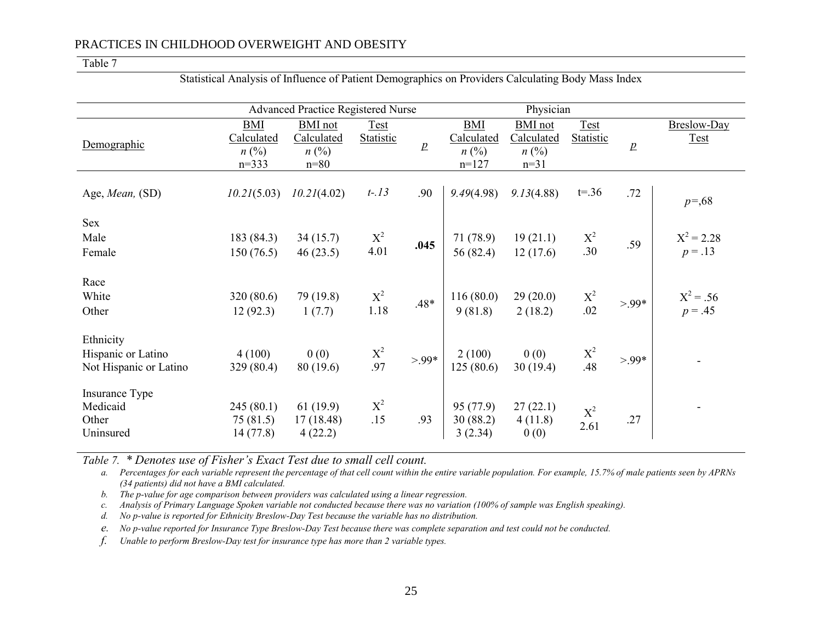#### Table 7

| <b>Advanced Practice Registered Nurse</b>                 |                                                  |                                                     |                          |                  |                                                  | Physician                                           |                          |              |                            |
|-----------------------------------------------------------|--------------------------------------------------|-----------------------------------------------------|--------------------------|------------------|--------------------------------------------------|-----------------------------------------------------|--------------------------|--------------|----------------------------|
| Demographic                                               | <b>BMI</b><br>Calculated<br>$n\ (\%)$<br>$n=333$ | <b>BMI</b> not<br>Calculated<br>$n\ (\%)$<br>$n=80$ | Test<br><b>Statistic</b> | $\boldsymbol{p}$ | BMI<br><b>Calculated</b><br>$n\ (\%)$<br>$n=127$ | <b>BMI</b> not<br>Calculated<br>$n\ (\%)$<br>$n=31$ | Test<br><b>Statistic</b> | $\mathbf{p}$ | Breslow-Day<br><b>Test</b> |
| Age, <i>Mean</i> , (SD)                                   | 10.21(5.03)                                      | 10.21(4.02)                                         | $t - 13$                 | .90              | 9.49(4.98)                                       | 9.13(4.88)                                          | $t = 0.36$               | .72          | $p = 68$                   |
| Sex<br>Male<br>Female                                     | 183 (84.3)<br>150(76.5)                          | 34(15.7)<br>46(23.5)                                | $X^2$<br>4.01            | .045             | 71 (78.9)<br>56 (82.4)                           | 19(21.1)<br>12(17.6)                                | $X^2$<br>.30             | .59          | $X^2 = 2.28$<br>$p = .13$  |
| Race<br>White<br>Other                                    | 320 (80.6)<br>12(92.3)                           | 79 (19.8)<br>1(7.7)                                 | $X^2$<br>1.18            | .48*             | 116(80.0)<br>9(81.8)                             | 29(20.0)<br>2(18.2)                                 | $X^2$<br>.02             | $>99*$       | $X^2 = .56$<br>$p = .45$   |
| Ethnicity<br>Hispanic or Latino<br>Not Hispanic or Latino | 4(100)<br>329(80.4)                              | 0(0)<br>80 (19.6)                                   | $\mathbf{X}^2$ .97       | $>99*$           | 2(100)<br>125(80.6)                              | 0(0)<br>30(19.4)                                    | $X^2$<br>.48             | $>99*$       |                            |
| Insurance Type<br>Medicaid<br>Other<br>Uninsured          | 245(80.1)<br>75(81.5)<br>14(77.8)                | 61(19.9)<br>17(18.48)<br>4(22.2)                    | $X^2$<br>.15             | .93              | 95 (77.9)<br>30(88.2)<br>3(2.34)                 | 27(22.1)<br>4(11.8)<br>0(0)                         | $X^2$<br>2.61            | .27          |                            |

Statistical Analysis of Influence of Patient Demographics on Providers Calculating Body Mass Index

*Table 7. \* Denotes use of Fisher's Exact Test due to small cell count.*

*a. Percentages for each variable represent the percentage of that cell count within the entire variable population. For example, 15.7% of male patients seen by APRNs (34 patients) did not have a BMI calculated.* 

*b. The p-value for age comparison between providers was calculated using a linear regression.* 

*c. Analysis of Primary Language Spoken variable not conducted because there was no variation (100% of sample was English speaking).* 

*d. No p-value is reported for Ethnicity Breslow-Day Test because the variable has no distribution.* 

*e. No p-value reported for Insurance Type Breslow-Day Test because there was complete separation and test could not be conducted.*

*f. Unable to perform Breslow-Day test for insurance type has more than 2 variable types.*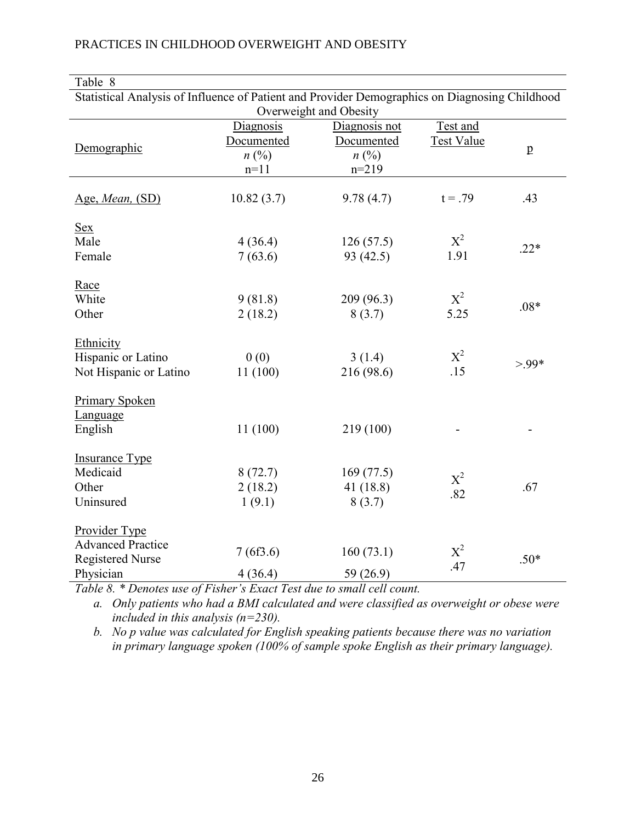| Table 8                                                                                        |                        |               |                   |              |  |  |  |  |
|------------------------------------------------------------------------------------------------|------------------------|---------------|-------------------|--------------|--|--|--|--|
| Statistical Analysis of Influence of Patient and Provider Demographics on Diagnosing Childhood |                        |               |                   |              |  |  |  |  |
|                                                                                                | Overweight and Obesity |               |                   |              |  |  |  |  |
|                                                                                                | Diagnosis              | Diagnosis not | Test and          |              |  |  |  |  |
| Demographic                                                                                    | Documented             | Documented    | <b>Test Value</b> |              |  |  |  |  |
|                                                                                                | $n\ (\%)$              | $n\ (\%)$     |                   | $\mathbf{p}$ |  |  |  |  |
|                                                                                                | $n=11$                 | $n=219$       |                   |              |  |  |  |  |
|                                                                                                |                        |               |                   |              |  |  |  |  |
| Age, Mean, (SD)                                                                                | 10.82(3.7)             | 9.78(4.7)     | $t = .79$         | .43          |  |  |  |  |
| <u>Sex</u>                                                                                     |                        |               |                   |              |  |  |  |  |
| Male                                                                                           | 4(36.4)                | 126(57.5)     | $X^2$             |              |  |  |  |  |
| Female                                                                                         | 7(63.6)                | 93(42.5)      | 1.91              | $.22*$       |  |  |  |  |
|                                                                                                |                        |               |                   |              |  |  |  |  |
| Race                                                                                           |                        |               |                   |              |  |  |  |  |
| White                                                                                          | 9(81.8)                | 209(96.3)     | $X^2$             |              |  |  |  |  |
| Other                                                                                          | 2(18.2)                | 8(3.7)        | 5.25              | $.08*$       |  |  |  |  |
|                                                                                                |                        |               |                   |              |  |  |  |  |
| Ethnicity                                                                                      |                        |               |                   |              |  |  |  |  |
| Hispanic or Latino                                                                             | 0(0)                   | 3(1.4)        | $X^2$             | $>99*$       |  |  |  |  |
| Not Hispanic or Latino                                                                         | 11(100)                | 216 (98.6)    | .15               |              |  |  |  |  |
|                                                                                                |                        |               |                   |              |  |  |  |  |
| <b>Primary Spoken</b>                                                                          |                        |               |                   |              |  |  |  |  |
| Language                                                                                       |                        |               |                   |              |  |  |  |  |
| English                                                                                        | 11(100)                | 219 (100)     |                   |              |  |  |  |  |
| <b>Insurance Type</b>                                                                          |                        |               |                   |              |  |  |  |  |
| Medicaid                                                                                       | 8(72.7)                | 169(77.5)     |                   |              |  |  |  |  |
| Other                                                                                          | 2(18.2)                | 41 $(18.8)$   | $X^2$             | .67          |  |  |  |  |
| Uninsured                                                                                      | 1(9.1)                 | 8(3.7)        | .82               |              |  |  |  |  |
|                                                                                                |                        |               |                   |              |  |  |  |  |
| Provider Type                                                                                  |                        |               |                   |              |  |  |  |  |
| <b>Advanced Practice</b>                                                                       |                        |               | $X^2$             |              |  |  |  |  |
| <b>Registered Nurse</b>                                                                        | 7(6f3.6)               | 160(73.1)     |                   | $.50*$       |  |  |  |  |
| Physician                                                                                      | 4(36.4)                | 59 (26.9)     | .47               |              |  |  |  |  |

*Table 8. \* Denotes use of Fisher's Exact Test due to small cell count.*

*a. Only patients who had a BMI calculated and were classified as overweight or obese were included in this analysis (n=230).* 

*b. No p value was calculated for English speaking patients because there was no variation in primary language spoken (100% of sample spoke English as their primary language).*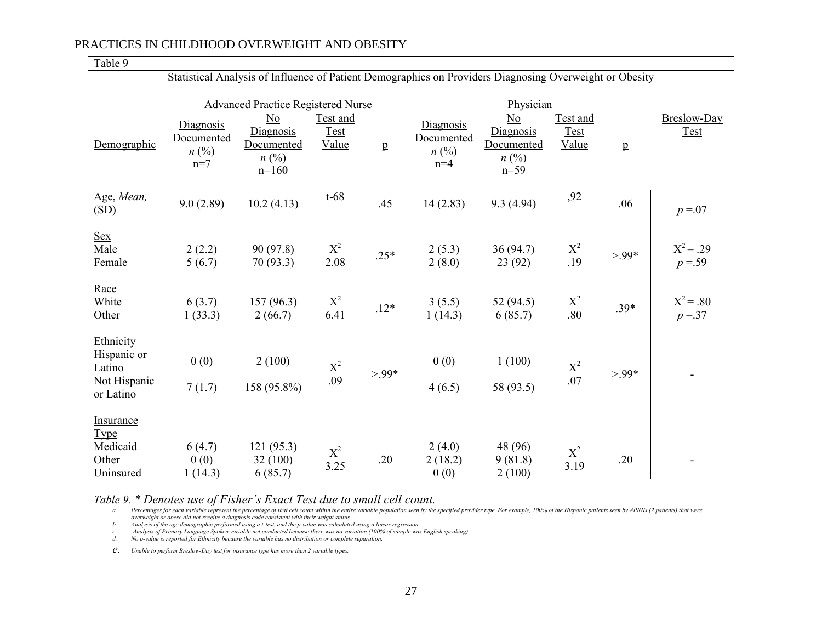#### Table 9

|                                                                   |                                               | <b>Advanced Practice Registered Nurse</b>                           |                                  |              |                                               | Physician                                                          |                                  |                 |                            |
|-------------------------------------------------------------------|-----------------------------------------------|---------------------------------------------------------------------|----------------------------------|--------------|-----------------------------------------------|--------------------------------------------------------------------|----------------------------------|-----------------|----------------------------|
| Demographic                                                       | Diagnosis<br>Documented<br>$n\ (\%)$<br>$n=7$ | $\underline{No}$<br>Diagnosis<br>Documented<br>$n\ (\%)$<br>$n=160$ | Test and<br><b>Test</b><br>Value | $\, {\bf p}$ | Diagnosis<br>Documented<br>$n\ (\%)$<br>$n=4$ | $\underline{No}$<br>Diagnosis<br>Documented<br>$n\ (\%)$<br>$n=59$ | Test and<br><b>Test</b><br>Value | $\underline{p}$ | Breslow-Day<br><b>Test</b> |
| Age, Mean,<br>(SD)                                                | 9.0(2.89)                                     | 10.2(4.13)                                                          | $t-68$                           | .45          | 14(2.83)                                      | 9.3(4.94)                                                          | ,92                              | .06             | $p = 07$                   |
| <b>Sex</b><br>Male<br>Female                                      | 2(2.2)<br>5(6.7)                              | 90(97.8)<br>70(93.3)                                                | $X^2$<br>2.08                    | $.25*$       | 2(5.3)<br>2(8.0)                              | 36(94.7)<br>23(92)                                                 | $X^2$<br>.19                     | $>99*$          | $X^2 = .29$<br>$p = 59$    |
| Race<br>White<br>Other                                            | 6(3.7)<br>1(33.3)                             | 157(96.3)<br>2(66.7)                                                | $X^2$<br>6.41                    | $.12*$       | 3(5.5)<br>1(14.3)                             | 52 $(94.5)$<br>6(85.7)                                             | $X^2$<br>.80                     | $.39*$          | $X^2 = .80$<br>$p = 37$    |
| Ethnicity<br>Hispanic or<br>Latino<br>Not Hispanic<br>or Latino   | 0(0)<br>7(1.7)                                | 2(100)<br>158 (95.8%)                                               | $\mathbf{X}^2$<br>.09            | $>99*$       | 0(0)<br>4(6.5)                                | 1(100)<br>58 (93.5)                                                | $X^2$<br>.07                     | $>99*$          |                            |
| <b>Insurance</b><br><b>Type</b><br>Medicaid<br>Other<br>Uninsured | 6(4.7)<br>0(0)<br>1(14.3)                     | 121(95.3)<br>32(100)<br>6(85.7)                                     | $\rm\,X^2$<br>3.25               | .20          | 2(4.0)<br>2(18.2)<br>0(0)                     | 48 (96)<br>9(81.8)<br>2(100)                                       | $\mathrm{X}^2$<br>3.19           | .20             |                            |

Statistical Analysis of Influence of Patient Demographics on Providers Diagnosing Overweight or Obesity

Table 9. \* Denotes use of Fisher's Exact Test due to small cell count.<br>a. Percentages for each variable represent the percentage of that cell count within the entire variable population seen by the specified provider type overweight or obese did not receive a diagnosis code consistent with their weight status.<br>b. Analysis of the age demographic performed using a t-test, and the p-value was calculated using a linear regression.

c. Analysis of Primary Language Spoken variable not conducted because there was no variation (100% of sample was English speaking).<br>d. No p-value is reported for Ethnicity because the variable has no distribution or comple

*e. Unable to perform Breslow-Day test for insurance type has more than 2 variable types.*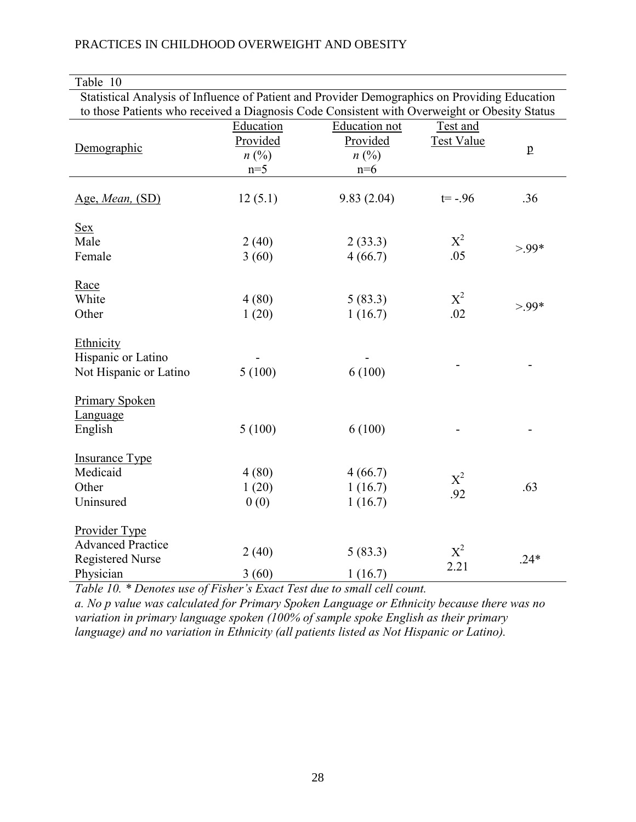| Table 10                                                                                                                                                                                      |                                                  |                                                        |                               |              |
|-----------------------------------------------------------------------------------------------------------------------------------------------------------------------------------------------|--------------------------------------------------|--------------------------------------------------------|-------------------------------|--------------|
| Statistical Analysis of Influence of Patient and Provider Demographics on Providing Education<br>to those Patients who received a Diagnosis Code Consistent with Overweight or Obesity Status |                                                  |                                                        |                               |              |
| Demographic                                                                                                                                                                                   | Education<br>Provided<br>$n(^{0}/_{0})$<br>$n=5$ | <b>Education not</b><br>Provided<br>$n\ (\%)$<br>$n=6$ | Test and<br><b>Test Value</b> | $\mathbf{p}$ |
| Age, Mean, (SD)                                                                                                                                                                               | 12(5.1)                                          | 9.83(2.04)                                             | $t = -0.96$                   | .36          |
| <u>Sex</u><br>Male<br>Female                                                                                                                                                                  | 2(40)<br>3(60)                                   | 2(33.3)<br>4(66.7)                                     | $X^2$<br>.05                  | $>99*$       |
| Race<br>White<br>Other                                                                                                                                                                        | 4(80)<br>1(20)                                   | 5(83.3)<br>1(16.7)                                     | $X^2$<br>.02                  | $>99*$       |
| Ethnicity<br>Hispanic or Latino<br>Not Hispanic or Latino                                                                                                                                     | 5(100)                                           | 6(100)                                                 |                               |              |
| <b>Primary Spoken</b><br>Language<br>English                                                                                                                                                  | 5(100)                                           | 6(100)                                                 |                               |              |
| <b>Insurance Type</b><br>Medicaid<br>Other<br>Uninsured                                                                                                                                       | 4(80)<br>1(20)<br>0(0)                           | 4(66.7)<br>1(16.7)<br>1(16.7)                          | $X^2$<br>.92                  | .63          |
| Provider Type<br><b>Advanced Practice</b><br><b>Registered Nurse</b><br>Physician                                                                                                             | 2(40)<br>3(60)                                   | 5(83.3)<br>1(16.7)                                     | $X^2$<br>2.21                 | $.24*$       |

*Table 10. \* Denotes use of Fisher's Exact Test due to small cell count.* 

*a. No p value was calculated for Primary Spoken Language or Ethnicity because there was no variation in primary language spoken (100% of sample spoke English as their primary language) and no variation in Ethnicity (all patients listed as Not Hispanic or Latino).*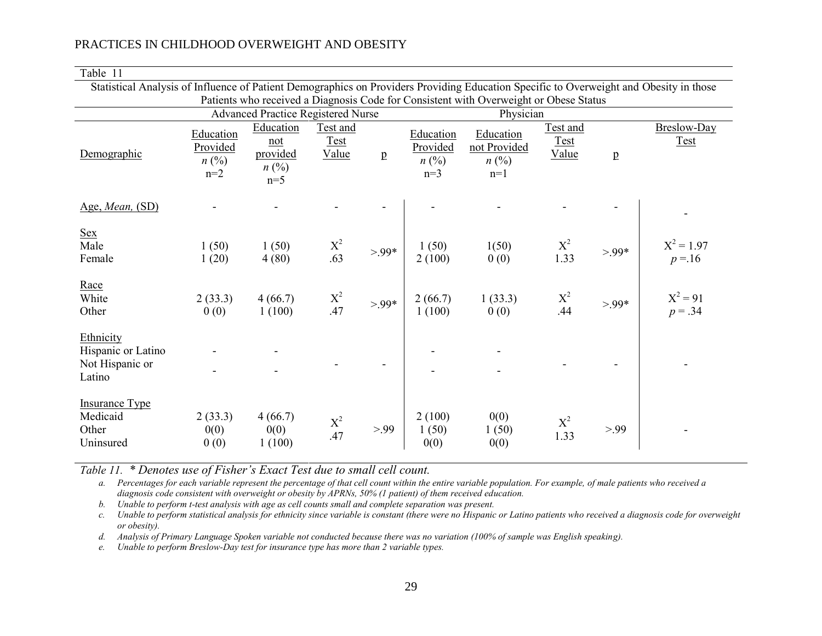Table 11

| Statistical Analysis of Influence of Patient Demographics on Providers Providing Education Specific to Overweight and Obesity in those |                                                                                                                                    |                                                    |                                  |              |                                             |                                                              |                                  |        |                            |
|----------------------------------------------------------------------------------------------------------------------------------------|------------------------------------------------------------------------------------------------------------------------------------|----------------------------------------------------|----------------------------------|--------------|---------------------------------------------|--------------------------------------------------------------|----------------------------------|--------|----------------------------|
|                                                                                                                                        | Patients who received a Diagnosis Code for Consistent with Overweight or Obese Status<br><b>Advanced Practice Registered Nurse</b> |                                                    |                                  |              |                                             |                                                              |                                  |        |                            |
| Demographic                                                                                                                            | Education<br>Provided<br>$n\ (\%)$<br>$n=2$                                                                                        | Education<br>not<br>provided<br>$n\ (\%)$<br>$n=5$ | Test and<br><b>Test</b><br>Value | $\mathbf{p}$ | Education<br>Provided<br>$n\ (\%)$<br>$n=3$ | Physician<br>Education<br>not Provided<br>$n\ (\%)$<br>$n=1$ | Test and<br><u>Test</u><br>Value | p      | Breslow-Day<br><b>Test</b> |
| Age, Mean, (SD)                                                                                                                        |                                                                                                                                    |                                                    |                                  |              |                                             |                                                              |                                  |        |                            |
| <u>Sex</u><br>Male<br>Female                                                                                                           | 1(50)<br>1(20)                                                                                                                     | 1(50)<br>4(80)                                     | $X^2$<br>.63                     | $>99*$       | 1(50)<br>2(100)                             | 1(50)<br>0(0)                                                | $X^2$<br>1.33                    | $>99*$ | $X^2 = 1.97$<br>$p = 16$   |
| Race<br>White<br>Other                                                                                                                 | 2(33.3)<br>0(0)                                                                                                                    | 4(66.7)<br>1(100)                                  | $\mathbf{X}^2$ .47               | $>99*$       | 2(66.7)<br>1(100)                           | 1(33.3)<br>0(0)                                              | $X^2$<br>.44                     | $>99*$ | $X^2 = 91$<br>$p = .34$    |
| Ethnicity<br>Hispanic or Latino<br>Not Hispanic or<br>Latino                                                                           |                                                                                                                                    |                                                    |                                  |              |                                             |                                                              |                                  |        |                            |
| <b>Insurance Type</b><br>Medicaid<br>Other<br>Uninsured                                                                                | 2(33.3)<br>0(0)<br>0(0)                                                                                                            | 4(66.7)<br>0(0)<br>1(100)                          | $\mathbf{X}^2$<br>.47            | > 99         | 2(100)<br>1(50)<br>0(0)                     | 0(0)<br>1(50)<br>0(0)                                        | $X^2$<br>1.33                    | > 99   |                            |

*Table 11. \* Denotes use of Fisher's Exact Test due to small cell count.*

*a. Percentages for each variable represent the percentage of that cell count within the entire variable population. For example, of male patients who received a diagnosis code consistent with overweight or obesity by APRNs, 50% (1 patient) of them received education.* 

*b. Unable to perform t-test analysis with age as cell counts small and complete separation was present.*

*c. Unable to perform statistical analysis for ethnicity since variable is constant (there were no Hispanic or Latino patients who received a diagnosis code for overweight or obesity).* 

*d. Analysis of Primary Language Spoken variable not conducted because there was no variation (100% of sample was English speaking).*

*e. Unable to perform Breslow-Day test for insurance type has more than 2 variable types.*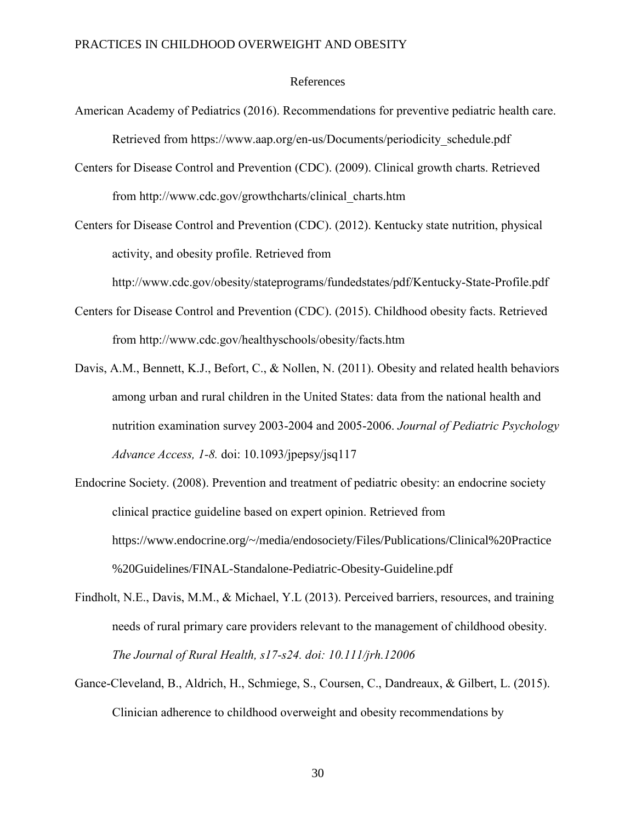#### References

- American Academy of Pediatrics (2016). Recommendations for preventive pediatric health care. Retrieved from https://www.aap.org/en-us/Documents/periodicity\_schedule.pdf
- Centers for Disease Control and Prevention (CDC). (2009). Clinical growth charts. Retrieved from http://www.cdc.gov/growthcharts/clinical\_charts.htm

Centers for Disease Control and Prevention (CDC). (2012). Kentucky state nutrition, physical activity, and obesity profile. Retrieved from

http://www.cdc.gov/obesity/stateprograms/fundedstates/pdf/Kentucky-State-Profile.pdf

- Centers for Disease Control and Prevention (CDC). (2015). Childhood obesity facts. Retrieved from http://www.cdc.gov/healthyschools/obesity/facts.htm
- Davis, A.M., Bennett, K.J., Befort, C., & Nollen, N. (2011). Obesity and related health behaviors among urban and rural children in the United States: data from the national health and nutrition examination survey 2003-2004 and 2005-2006. *Journal of Pediatric Psychology Advance Access, 1-8.* doi: 10.1093/jpepsy/jsq117
- Endocrine Society. (2008). Prevention and treatment of pediatric obesity: an endocrine society clinical practice guideline based on expert opinion. Retrieved from https://www.endocrine.org/~/media/endosociety/Files/Publications/Clinical%20Practice %20Guidelines/FINAL-Standalone-Pediatric-Obesity-Guideline.pdf
- Findholt, N.E., Davis, M.M., & Michael, Y.L (2013). Perceived barriers, resources, and training needs of rural primary care providers relevant to the management of childhood obesity. *The Journal of Rural Health, s17-s24. doi: 10.111/jrh.12006*
- Gance-Cleveland, B., Aldrich, H., Schmiege, S., Coursen, C., Dandreaux, & Gilbert, L. (2015). Clinician adherence to childhood overweight and obesity recommendations by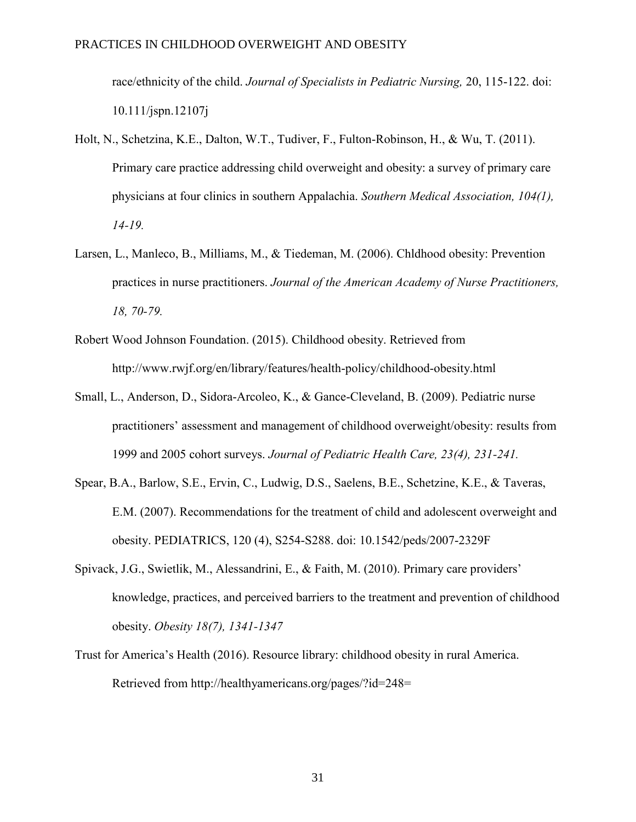race/ethnicity of the child. *Journal of Specialists in Pediatric Nursing,* 20, 115-122. doi: 10.111/jspn.12107j

- Holt, N., Schetzina, K.E., Dalton, W.T., Tudiver, F., Fulton-Robinson, H., & Wu, T. (2011). Primary care practice addressing child overweight and obesity: a survey of primary care physicians at four clinics in southern Appalachia. *Southern Medical Association, 104(1), 14-19.*
- Larsen, L., Manleco, B., Milliams, M., & Tiedeman, M. (2006). Chldhood obesity: Prevention practices in nurse practitioners. *Journal of the American Academy of Nurse Practitioners, 18, 70-79.*
- Robert Wood Johnson Foundation. (2015). Childhood obesity. Retrieved from http://www.rwjf.org/en/library/features/health-policy/childhood-obesity.html
- Small, L., Anderson, D., Sidora-Arcoleo, K., & Gance-Cleveland, B. (2009). Pediatric nurse practitioners' assessment and management of childhood overweight/obesity: results from 1999 and 2005 cohort surveys. *Journal of Pediatric Health Care, 23(4), 231-241.*
- Spear, B.A., Barlow, S.E., Ervin, C., Ludwig, D.S., Saelens, B.E., Schetzine, K.E., & Taveras, E.M. (2007). Recommendations for the treatment of child and adolescent overweight and obesity. PEDIATRICS, 120 (4), S254-S288. doi: 10.1542/peds/2007-2329F
- Spivack, J.G., Swietlik, M., Alessandrini, E., & Faith, M. (2010). Primary care providers' knowledge, practices, and perceived barriers to the treatment and prevention of childhood obesity. *Obesity 18(7), 1341-1347*
- Trust for America's Health (2016). Resource library: childhood obesity in rural America. Retrieved from http://healthyamericans.org/pages/?id=248=